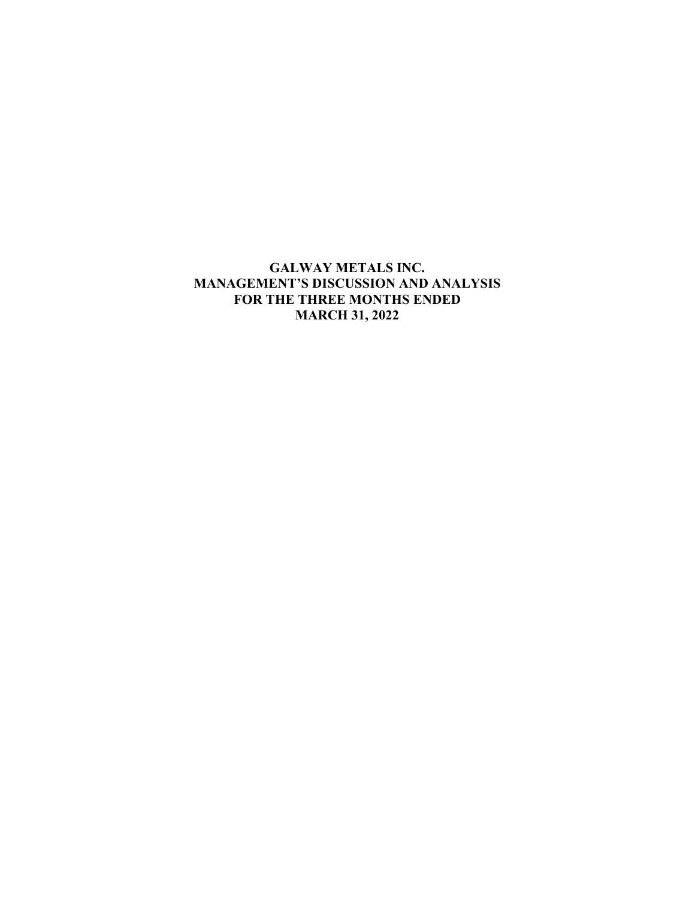# **GALWAY METALS INC. MANAGEMENT'S DISCUSSION AND ANALYSIS FOR THE THREE MONTHS ENDED MARCH 31, 2022**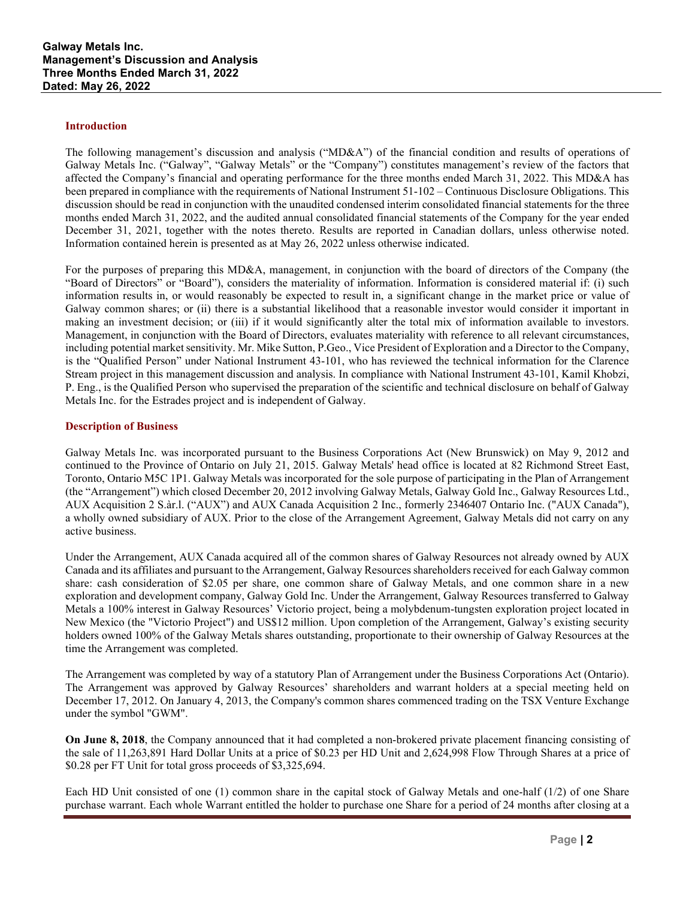#### **Introduction**

The following management's discussion and analysis ("MD&A") of the financial condition and results of operations of Galway Metals Inc. ("Galway", "Galway Metals" or the "Company") constitutes management's review of the factors that affected the Company's financial and operating performance for the three months ended March 31, 2022. This MD&A has been prepared in compliance with the requirements of National Instrument 51-102 – Continuous Disclosure Obligations. This discussion should be read in conjunction with the unaudited condensed interim consolidated financial statements for the three months ended March 31, 2022, and the audited annual consolidated financial statements of the Company for the year ended December 31, 2021, together with the notes thereto. Results are reported in Canadian dollars, unless otherwise noted. Information contained herein is presented as at May 26, 2022 unless otherwise indicated.

For the purposes of preparing this MD&A, management, in conjunction with the board of directors of the Company (the "Board of Directors" or "Board"), considers the materiality of information. Information is considered material if: (i) such information results in, or would reasonably be expected to result in, a significant change in the market price or value of Galway common shares; or (ii) there is a substantial likelihood that a reasonable investor would consider it important in making an investment decision; or (iii) if it would significantly alter the total mix of information available to investors. Management, in conjunction with the Board of Directors, evaluates materiality with reference to all relevant circumstances, including potential market sensitivity. Mr. Mike Sutton, P.Geo., Vice President of Exploration and a Director to the Company, is the "Qualified Person" under National Instrument 43-101, who has reviewed the technical information for the Clarence Stream project in this management discussion and analysis. In compliance with National Instrument 43-101, Kamil Khobzi, P. Eng., is the Qualified Person who supervised the preparation of the scientific and technical disclosure on behalf of Galway Metals Inc. for the Estrades project and is independent of Galway.

### **Description of Business**

Galway Metals Inc. was incorporated pursuant to the Business Corporations Act (New Brunswick) on May 9, 2012 and continued to the Province of Ontario on July 21, 2015. Galway Metals' head office is located at 82 Richmond Street East, Toronto, Ontario M5C 1P1. Galway Metals was incorporated for the sole purpose of participating in the Plan of Arrangement (the "Arrangement") which closed December 20, 2012 involving Galway Metals, Galway Gold Inc., Galway Resources Ltd., AUX Acquisition 2 S.àr.l. ("AUX") and AUX Canada Acquisition 2 Inc., formerly 2346407 Ontario Inc. ("AUX Canada"), a wholly owned subsidiary of AUX. Prior to the close of the Arrangement Agreement, Galway Metals did not carry on any active business.

Under the Arrangement, AUX Canada acquired all of the common shares of Galway Resources not already owned by AUX Canada and its affiliates and pursuant to the Arrangement, Galway Resources shareholders received for each Galway common share: cash consideration of \$2.05 per share, one common share of Galway Metals, and one common share in a new exploration and development company, Galway Gold Inc. Under the Arrangement, Galway Resources transferred to Galway Metals a 100% interest in Galway Resources' Victorio project, being a molybdenum-tungsten exploration project located in New Mexico (the "Victorio Project") and US\$12 million. Upon completion of the Arrangement, Galway's existing security holders owned 100% of the Galway Metals shares outstanding, proportionate to their ownership of Galway Resources at the time the Arrangement was completed.

The Arrangement was completed by way of a statutory Plan of Arrangement under the Business Corporations Act (Ontario). The Arrangement was approved by Galway Resources' shareholders and warrant holders at a special meeting held on December 17, 2012. On January 4, 2013, the Company's common shares commenced trading on the TSX Venture Exchange under the symbol "GWM".

**On June 8, 2018**, the Company announced that it had completed a non-brokered private placement financing consisting of the sale of 11,263,891 Hard Dollar Units at a price of \$0.23 per HD Unit and 2,624,998 Flow Through Shares at a price of \$0.28 per FT Unit for total gross proceeds of \$3,325,694.

Each HD Unit consisted of one (1) common share in the capital stock of Galway Metals and one-half (1/2) of one Share purchase warrant. Each whole Warrant entitled the holder to purchase one Share for a period of 24 months after closing at a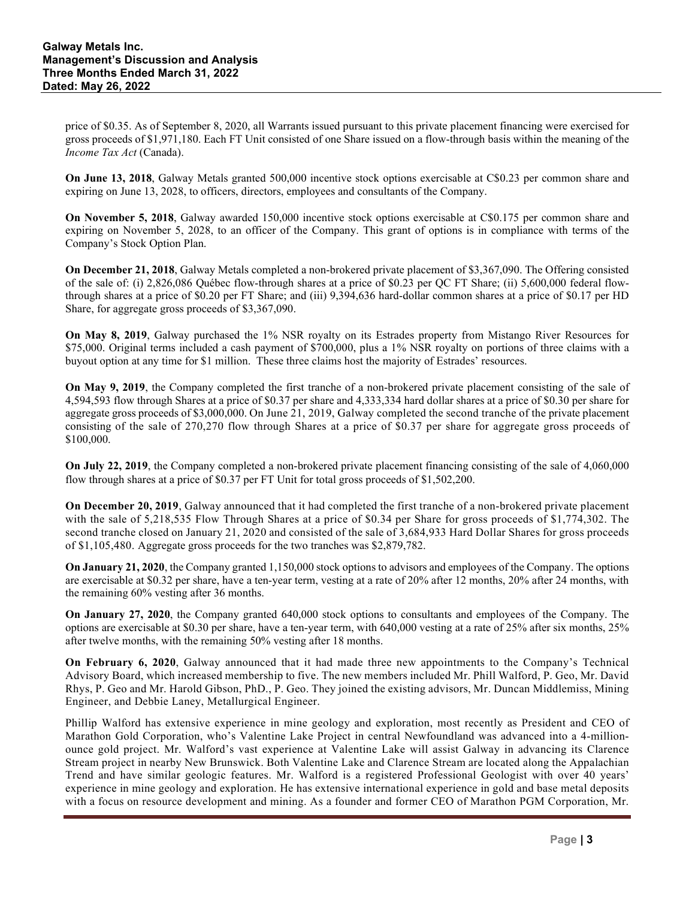price of \$0.35. As of September 8, 2020, all Warrants issued pursuant to this private placement financing were exercised for gross proceeds of \$1,971,180. Each FT Unit consisted of one Share issued on a flow-through basis within the meaning of the *Income Tax Act* (Canada).

**On June 13, 2018**, Galway Metals granted 500,000 incentive stock options exercisable at C\$0.23 per common share and expiring on June 13, 2028, to officers, directors, employees and consultants of the Company.

**On November 5, 2018**, Galway awarded 150,000 incentive stock options exercisable at C\$0.175 per common share and expiring on November 5, 2028, to an officer of the Company. This grant of options is in compliance with terms of the Company's Stock Option Plan.

**On December 21, 2018**, Galway Metals completed a non-brokered private placement of \$3,367,090. The Offering consisted of the sale of: (i) 2,826,086 Québec flow-through shares at a price of \$0.23 per QC FT Share; (ii) 5,600,000 federal flowthrough shares at a price of \$0.20 per FT Share; and (iii) 9,394,636 hard-dollar common shares at a price of \$0.17 per HD Share, for aggregate gross proceeds of \$3,367,090.

**On May 8, 2019**, Galway purchased the 1% NSR royalty on its Estrades property from Mistango River Resources for \$75,000. Original terms included a cash payment of \$700,000, plus a 1% NSR royalty on portions of three claims with a buyout option at any time for \$1 million. These three claims host the majority of Estrades' resources.

**On May 9, 2019**, the Company completed the first tranche of a non-brokered private placement consisting of the sale of 4,594,593 flow through Shares at a price of \$0.37 per share and 4,333,334 hard dollar shares at a price of \$0.30 per share for aggregate gross proceeds of \$3,000,000. On June 21, 2019, Galway completed the second tranche of the private placement consisting of the sale of 270,270 flow through Shares at a price of \$0.37 per share for aggregate gross proceeds of \$100,000.

**On July 22, 2019**, the Company completed a non-brokered private placement financing consisting of the sale of 4,060,000 flow through shares at a price of \$0.37 per FT Unit for total gross proceeds of \$1,502,200.

**On December 20, 2019**, Galway announced that it had completed the first tranche of a non-brokered private placement with the sale of 5,218,535 Flow Through Shares at a price of \$0.34 per Share for gross proceeds of \$1,774,302. The second tranche closed on January 21, 2020 and consisted of the sale of 3,684,933 Hard Dollar Shares for gross proceeds of \$1,105,480. Aggregate gross proceeds for the two tranches was \$2,879,782.

**On January 21, 2020**, the Company granted 1,150,000 stock options to advisors and employees of the Company. The options are exercisable at \$0.32 per share, have a ten-year term, vesting at a rate of 20% after 12 months, 20% after 24 months, with the remaining 60% vesting after 36 months.

**On January 27, 2020**, the Company granted 640,000 stock options to consultants and employees of the Company. The options are exercisable at \$0.30 per share, have a ten-year term, with 640,000 vesting at a rate of 25% after six months, 25% after twelve months, with the remaining 50% vesting after 18 months.

**On February 6, 2020**, Galway announced that it had made three new appointments to the Company's Technical Advisory Board, which increased membership to five. The new members included Mr. Phill Walford, P. Geo, Mr. David Rhys, P. Geo and Mr. Harold Gibson, PhD., P. Geo. They joined the existing advisors, Mr. Duncan Middlemiss, Mining Engineer, and Debbie Laney, Metallurgical Engineer.

Phillip Walford has extensive experience in mine geology and exploration, most recently as President and CEO of Marathon Gold Corporation, who's Valentine Lake Project in central Newfoundland was advanced into a 4-millionounce gold project. Mr. Walford's vast experience at Valentine Lake will assist Galway in advancing its Clarence Stream project in nearby New Brunswick. Both Valentine Lake and Clarence Stream are located along the Appalachian Trend and have similar geologic features. Mr. Walford is a registered Professional Geologist with over 40 years' experience in mine geology and exploration. He has extensive international experience in gold and base metal deposits with a focus on resource development and mining. As a founder and former CEO of Marathon PGM Corporation, Mr.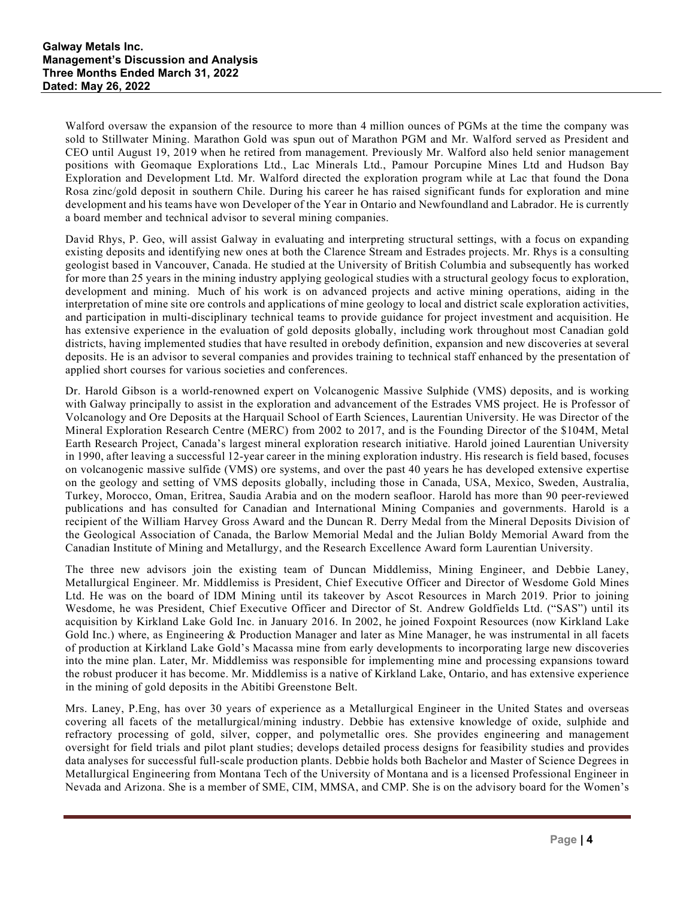Walford oversaw the expansion of the resource to more than 4 million ounces of PGMs at the time the company was sold to Stillwater Mining. Marathon Gold was spun out of Marathon PGM and Mr. Walford served as President and CEO until August 19, 2019 when he retired from management. Previously Mr. Walford also held senior management positions with Geomaque Explorations Ltd., Lac Minerals Ltd., Pamour Porcupine Mines Ltd and Hudson Bay Exploration and Development Ltd. Mr. Walford directed the exploration program while at Lac that found the Dona Rosa zinc/gold deposit in southern Chile. During his career he has raised significant funds for exploration and mine development and his teams have won Developer of the Year in Ontario and Newfoundland and Labrador. He is currently a board member and technical advisor to several mining companies.

David Rhys, P. Geo, will assist Galway in evaluating and interpreting structural settings, with a focus on expanding existing deposits and identifying new ones at both the Clarence Stream and Estrades projects. Mr. Rhys is a consulting geologist based in Vancouver, Canada. He studied at the University of British Columbia and subsequently has worked for more than 25 years in the mining industry applying geological studies with a structural geology focus to exploration, development and mining. Much of his work is on advanced projects and active mining operations, aiding in the interpretation of mine site ore controls and applications of mine geology to local and district scale exploration activities, and participation in multi-disciplinary technical teams to provide guidance for project investment and acquisition. He has extensive experience in the evaluation of gold deposits globally, including work throughout most Canadian gold districts, having implemented studies that have resulted in orebody definition, expansion and new discoveries at several deposits. He is an advisor to several companies and provides training to technical staff enhanced by the presentation of applied short courses for various societies and conferences.

Dr. Harold Gibson is a world-renowned expert on Volcanogenic Massive Sulphide (VMS) deposits, and is working with Galway principally to assist in the exploration and advancement of the Estrades VMS project. He is Professor of Volcanology and Ore Deposits at the Harquail School of Earth Sciences, Laurentian University. He was Director of the Mineral Exploration Research Centre (MERC) from 2002 to 2017, and is the Founding Director of the \$104M, Metal Earth Research Project, Canada's largest mineral exploration research initiative. Harold joined Laurentian University in 1990, after leaving a successful 12-year career in the mining exploration industry. His research is field based, focuses on volcanogenic massive sulfide (VMS) ore systems, and over the past 40 years he has developed extensive expertise on the geology and setting of VMS deposits globally, including those in Canada, USA, Mexico, Sweden, Australia, Turkey, Morocco, Oman, Eritrea, Saudia Arabia and on the modern seafloor. Harold has more than 90 peer-reviewed publications and has consulted for Canadian and International Mining Companies and governments. Harold is a recipient of the William Harvey Gross Award and the Duncan R. Derry Medal from the Mineral Deposits Division of the Geological Association of Canada, the Barlow Memorial Medal and the Julian Boldy Memorial Award from the Canadian Institute of Mining and Metallurgy, and the Research Excellence Award form Laurentian University.

The three new advisors join the existing team of Duncan Middlemiss, Mining Engineer, and Debbie Laney, Metallurgical Engineer. Mr. Middlemiss is President, Chief Executive Officer and Director of Wesdome Gold Mines Ltd. He was on the board of IDM Mining until its takeover by Ascot Resources in March 2019. Prior to joining Wesdome, he was President, Chief Executive Officer and Director of St. Andrew Goldfields Ltd. ("SAS") until its acquisition by Kirkland Lake Gold Inc. in January 2016. In 2002, he joined Foxpoint Resources (now Kirkland Lake Gold Inc.) where, as Engineering & Production Manager and later as Mine Manager, he was instrumental in all facets of production at Kirkland Lake Gold's Macassa mine from early developments to incorporating large new discoveries into the mine plan. Later, Mr. Middlemiss was responsible for implementing mine and processing expansions toward the robust producer it has become. Mr. Middlemiss is a native of Kirkland Lake, Ontario, and has extensive experience in the mining of gold deposits in the Abitibi Greenstone Belt.

Mrs. Laney, P.Eng, has over 30 years of experience as a Metallurgical Engineer in the United States and overseas covering all facets of the metallurgical/mining industry. Debbie has extensive knowledge of oxide, sulphide and refractory processing of gold, silver, copper, and polymetallic ores. She provides engineering and management oversight for field trials and pilot plant studies; develops detailed process designs for feasibility studies and provides data analyses for successful full-scale production plants. Debbie holds both Bachelor and Master of Science Degrees in Metallurgical Engineering from Montana Tech of the University of Montana and is a licensed Professional Engineer in Nevada and Arizona. She is a member of SME, CIM, MMSA, and CMP. She is on the advisory board for the Women's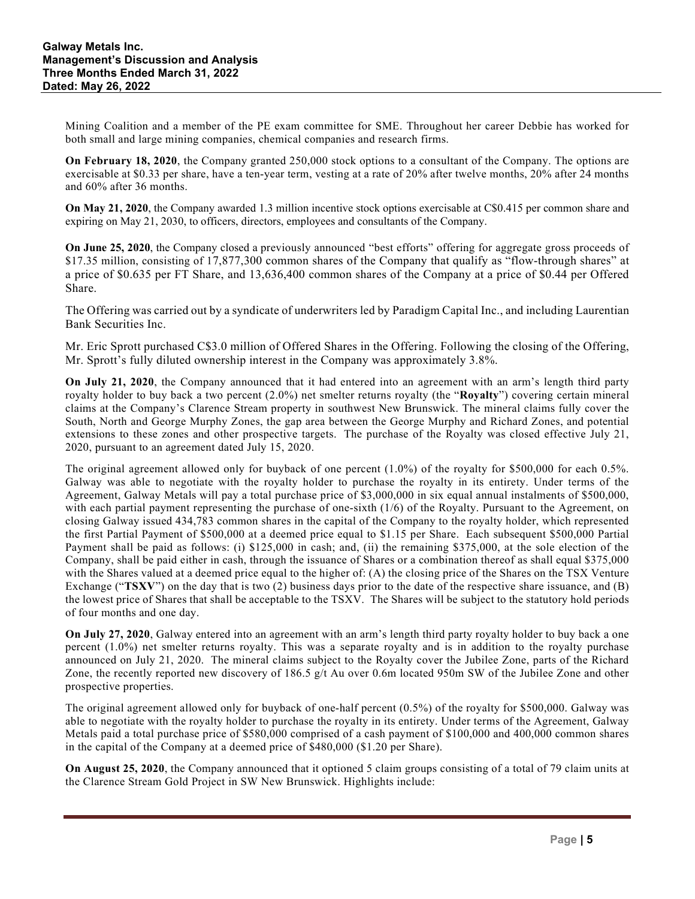Mining Coalition and a member of the PE exam committee for SME. Throughout her career Debbie has worked for both small and large mining companies, chemical companies and research firms.

**On February 18, 2020**, the Company granted 250,000 stock options to a consultant of the Company. The options are exercisable at \$0.33 per share, have a ten-year term, vesting at a rate of 20% after twelve months, 20% after 24 months and 60% after 36 months.

**On May 21, 2020**, the Company awarded 1.3 million incentive stock options exercisable at C\$0.415 per common share and expiring on May 21, 2030, to officers, directors, employees and consultants of the Company.

**On June 25, 2020**, the Company closed a previously announced "best efforts" offering for aggregate gross proceeds of \$17.35 million, consisting of 17,877,300 common shares of the Company that qualify as "flow-through shares" at a price of \$0.635 per FT Share, and 13,636,400 common shares of the Company at a price of \$0.44 per Offered Share.

The Offering was carried out by a syndicate of underwriters led by Paradigm Capital Inc., and including Laurentian Bank Securities Inc.

Mr. Eric Sprott purchased C\$3.0 million of Offered Shares in the Offering. Following the closing of the Offering, Mr. Sprott's fully diluted ownership interest in the Company was approximately 3.8%.

**On July 21, 2020**, the Company announced that it had entered into an agreement with an arm's length third party royalty holder to buy back a two percent (2.0%) net smelter returns royalty (the "**Royalty**") covering certain mineral claims at the Company's Clarence Stream property in southwest New Brunswick. The mineral claims fully cover the South, North and George Murphy Zones, the gap area between the George Murphy and Richard Zones, and potential extensions to these zones and other prospective targets. The purchase of the Royalty was closed effective July 21, 2020, pursuant to an agreement dated July 15, 2020.

The original agreement allowed only for buyback of one percent (1.0%) of the royalty for \$500,000 for each 0.5%. Galway was able to negotiate with the royalty holder to purchase the royalty in its entirety. Under terms of the Agreement, Galway Metals will pay a total purchase price of \$3,000,000 in six equal annual instalments of \$500,000, with each partial payment representing the purchase of one-sixth (1/6) of the Royalty. Pursuant to the Agreement, on closing Galway issued 434,783 common shares in the capital of the Company to the royalty holder, which represented the first Partial Payment of \$500,000 at a deemed price equal to \$1.15 per Share. Each subsequent \$500,000 Partial Payment shall be paid as follows: (i) \$125,000 in cash; and, (ii) the remaining \$375,000, at the sole election of the Company, shall be paid either in cash, through the issuance of Shares or a combination thereof as shall equal \$375,000 with the Shares valued at a deemed price equal to the higher of: (A) the closing price of the Shares on the TSX Venture Exchange ("**TSXV**") on the day that is two (2) business days prior to the date of the respective share issuance, and (B) the lowest price of Shares that shall be acceptable to the TSXV. The Shares will be subject to the statutory hold periods of four months and one day.

**On July 27, 2020**, Galway entered into an agreement with an arm's length third party royalty holder to buy back a one percent (1.0%) net smelter returns royalty. This was a separate royalty and is in addition to the royalty purchase announced on July 21, 2020. The mineral claims subject to the Royalty cover the Jubilee Zone, parts of the Richard Zone, the recently reported new discovery of 186.5 g/t Au over 0.6m located 950m SW of the Jubilee Zone and other prospective properties.

The original agreement allowed only for buyback of one-half percent (0.5%) of the royalty for \$500,000. Galway was able to negotiate with the royalty holder to purchase the royalty in its entirety. Under terms of the Agreement, Galway Metals paid a total purchase price of \$580,000 comprised of a cash payment of \$100,000 and 400,000 common shares in the capital of the Company at a deemed price of \$480,000 (\$1.20 per Share).

**On August 25, 2020**, the Company announced that it optioned 5 claim groups consisting of a total of 79 claim units at the Clarence Stream Gold Project in SW New Brunswick. Highlights include: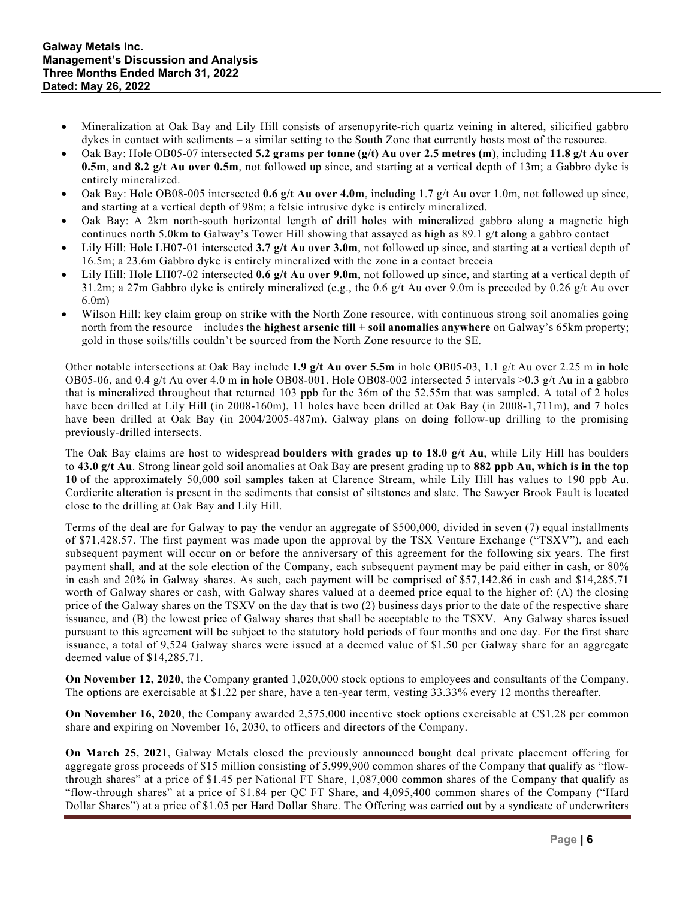- Mineralization at Oak Bay and Lily Hill consists of arsenopyrite-rich quartz veining in altered, silicified gabbro dykes in contact with sediments – a similar setting to the South Zone that currently hosts most of the resource.
- Oak Bay: Hole OB05-07 intersected **5.2 grams per tonne (g/t) Au over 2.5 metres (m)**, including **11.8 g/t Au over 0.5m**, **and 8.2 g/t Au over 0.5m**, not followed up since, and starting at a vertical depth of 13m; a Gabbro dyke is entirely mineralized.
- Oak Bay: Hole OB08-005 intersected **0.6 g/t Au over 4.0m**, including 1.7 g/t Au over 1.0m, not followed up since, and starting at a vertical depth of 98m; a felsic intrusive dyke is entirely mineralized.
- Oak Bay: A 2km north-south horizontal length of drill holes with mineralized gabbro along a magnetic high continues north 5.0km to Galway's Tower Hill showing that assayed as high as 89.1 g/t along a gabbro contact
- Lily Hill: Hole LH07-01 intersected 3.7 g/t Au over 3.0m, not followed up since, and starting at a vertical depth of 16.5m; a 23.6m Gabbro dyke is entirely mineralized with the zone in a contact breccia
- Lily Hill: Hole LH07-02 intersected **0.6 g/t Au over 9.0m**, not followed up since, and starting at a vertical depth of 31.2m; a 27m Gabbro dyke is entirely mineralized (e.g., the 0.6 g/t Au over 9.0m is preceded by 0.26 g/t Au over 6.0m)
- Wilson Hill: key claim group on strike with the North Zone resource, with continuous strong soil anomalies going north from the resource – includes the **highest arsenic till + soil anomalies anywhere** on Galway's 65km property; gold in those soils/tills couldn't be sourced from the North Zone resource to the SE.

Other notable intersections at Oak Bay include **1.9 g/t Au over 5.5m** in hole OB05-03, 1.1 g/t Au over 2.25 m in hole OB05-06, and 0.4 g/t Au over 4.0 m in hole OB08-001. Hole OB08-002 intersected 5 intervals  $>0.3$  g/t Au in a gabbro that is mineralized throughout that returned 103 ppb for the 36m of the 52.55m that was sampled. A total of 2 holes have been drilled at Lily Hill (in 2008-160m), 11 holes have been drilled at Oak Bay (in 2008-1,711m), and 7 holes have been drilled at Oak Bay (in 2004/2005-487m). Galway plans on doing follow-up drilling to the promising previously-drilled intersects.

The Oak Bay claims are host to widespread **boulders with grades up to 18.0 g/t Au**, while Lily Hill has boulders to **43.0 g/t Au**. Strong linear gold soil anomalies at Oak Bay are present grading up to **882 ppb Au, which is in the top 10** of the approximately 50,000 soil samples taken at Clarence Stream, while Lily Hill has values to 190 ppb Au. Cordierite alteration is present in the sediments that consist of siltstones and slate. The Sawyer Brook Fault is located close to the drilling at Oak Bay and Lily Hill.

Terms of the deal are for Galway to pay the vendor an aggregate of \$500,000, divided in seven (7) equal installments of \$71,428.57. The first payment was made upon the approval by the TSX Venture Exchange ("TSXV"), and each subsequent payment will occur on or before the anniversary of this agreement for the following six years. The first payment shall, and at the sole election of the Company, each subsequent payment may be paid either in cash, or 80% in cash and 20% in Galway shares. As such, each payment will be comprised of \$57,142.86 in cash and \$14,285.71 worth of Galway shares or cash, with Galway shares valued at a deemed price equal to the higher of: (A) the closing price of the Galway shares on the TSXV on the day that is two (2) business days prior to the date of the respective share issuance, and (B) the lowest price of Galway shares that shall be acceptable to the TSXV. Any Galway shares issued pursuant to this agreement will be subject to the statutory hold periods of four months and one day. For the first share issuance, a total of 9,524 Galway shares were issued at a deemed value of \$1.50 per Galway share for an aggregate deemed value of \$14,285.71.

**On November 12, 2020**, the Company granted 1,020,000 stock options to employees and consultants of the Company. The options are exercisable at \$1.22 per share, have a ten-year term, vesting 33.33% every 12 months thereafter.

**On November 16, 2020**, the Company awarded 2,575,000 incentive stock options exercisable at C\$1.28 per common share and expiring on November 16, 2030, to officers and directors of the Company.

**On March 25, 2021**, Galway Metals closed the previously announced bought deal private placement offering for aggregate gross proceeds of \$15 million consisting of 5,999,900 common shares of the Company that qualify as "flowthrough shares" at a price of \$1.45 per National FT Share, 1,087,000 common shares of the Company that qualify as "flow-through shares" at a price of \$1.84 per QC FT Share, and 4,095,400 common shares of the Company ("Hard Dollar Shares") at a price of \$1.05 per Hard Dollar Share. The Offering was carried out by a syndicate of underwriters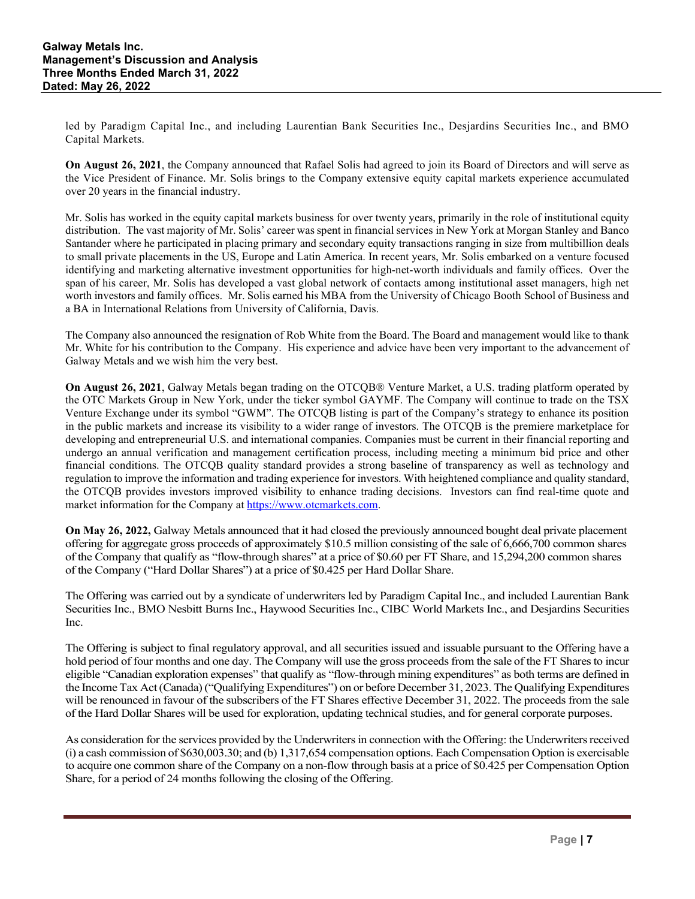led by Paradigm Capital Inc., and including Laurentian Bank Securities Inc., Desjardins Securities Inc., and BMO Capital Markets.

**On August 26, 2021**, the Company announced that Rafael Solis had agreed to join its Board of Directors and will serve as the Vice President of Finance. Mr. Solis brings to the Company extensive equity capital markets experience accumulated over 20 years in the financial industry.

Mr. Solis has worked in the equity capital markets business for over twenty years, primarily in the role of institutional equity distribution. The vast majority of Mr. Solis' career was spent in financial services in New York at Morgan Stanley and Banco Santander where he participated in placing primary and secondary equity transactions ranging in size from multibillion deals to small private placements in the US, Europe and Latin America. In recent years, Mr. Solis embarked on a venture focused identifying and marketing alternative investment opportunities for high-net-worth individuals and family offices. Over the span of his career, Mr. Solis has developed a vast global network of contacts among institutional asset managers, high net worth investors and family offices. Mr. Solis earned his MBA from the University of Chicago Booth School of Business and a BA in International Relations from University of California, Davis.

The Company also announced the resignation of Rob White from the Board. The Board and management would like to thank Mr. White for his contribution to the Company. His experience and advice have been very important to the advancement of Galway Metals and we wish him the very best.

**On August 26, 2021**, Galway Metals began trading on the OTCQB® Venture Market, a U.S. trading platform operated by the OTC Markets Group in New York, under the ticker symbol GAYMF. The Company will continue to trade on the TSX Venture Exchange under its symbol "GWM". The OTCQB listing is part of the Company's strategy to enhance its position in the public markets and increase its visibility to a wider range of investors. The OTCQB is the premiere marketplace for developing and entrepreneurial U.S. and international companies. Companies must be current in their financial reporting and undergo an annual verification and management certification process, including meeting a minimum bid price and other financial conditions. The OTCQB quality standard provides a strong baseline of transparency as well as technology and regulation to improve the information and trading experience for investors. With heightened compliance and quality standard, the OTCQB provides investors improved visibility to enhance trading decisions. Investors can find real-time quote and market information for the Company a[t https://www.otcmarkets.com.](https://www.otcmarkets.com/)

**On May 26, 2022,** Galway Metals announced that it had closed the previously announced bought deal private placement offering for aggregate gross proceeds of approximately \$10.5 million consisting of the sale of 6,666,700 common shares of the Company that qualify as "flow-through shares" at a price of \$0.60 per FT Share, and 15,294,200 common shares of the Company ("Hard Dollar Shares") at a price of \$0.425 per Hard Dollar Share.

The Offering was carried out by a syndicate of underwriters led by Paradigm Capital Inc., and included Laurentian Bank Securities Inc., BMO Nesbitt Burns Inc., Haywood Securities Inc., CIBC World Markets Inc., and Desjardins Securities Inc.

The Offering is subject to final regulatory approval, and all securities issued and issuable pursuant to the Offering have a hold period of four months and one day. The Company will use the gross proceeds from the sale of the FT Shares to incur eligible "Canadian exploration expenses" that qualify as "flow-through mining expenditures" as both terms are defined in the Income Tax Act (Canada) ("Qualifying Expenditures") on or before December 31, 2023. The Qualifying Expenditures will be renounced in favour of the subscribers of the FT Shares effective December 31, 2022. The proceeds from the sale of the Hard Dollar Shares will be used for exploration, updating technical studies, and for general corporate purposes.

As consideration for the services provided by the Underwriters in connection with the Offering: the Underwriters received (i) a cash commission of \$630,003.30; and (b) 1,317,654 compensation options. Each Compensation Option is exercisable to acquire one common share of the Company on a non-flow through basis at a price of \$0.425 per Compensation Option Share, for a period of 24 months following the closing of the Offering.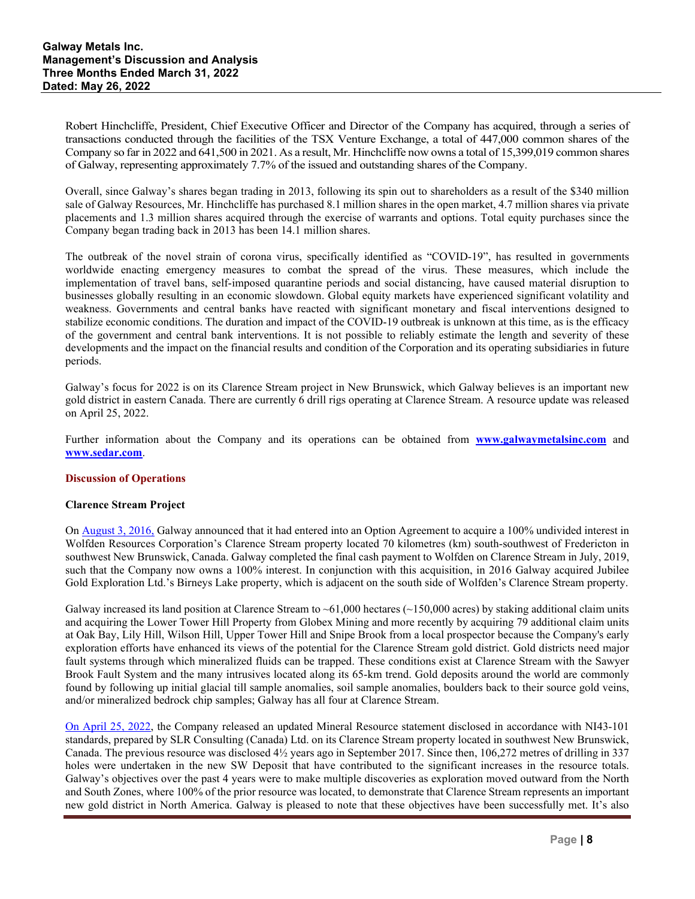Robert Hinchcliffe, President, Chief Executive Officer and Director of the Company has acquired, through a series of transactions conducted through the facilities of the TSX Venture Exchange, a total of 447,000 common shares of the Company so far in 2022 and 641,500 in 2021. As a result, Mr. Hinchcliffe now owns a total of 15,399,019 common shares of Galway, representing approximately 7.7% of the issued and outstanding shares of the Company.

Overall, since Galway's shares began trading in 2013, following its spin out to shareholders as a result of the \$340 million sale of Galway Resources, Mr. Hinchcliffe has purchased 8.1 million shares in the open market, 4.7 million shares via private placements and 1.3 million shares acquired through the exercise of warrants and options. Total equity purchases since the Company began trading back in 2013 has been 14.1 million shares.

The outbreak of the novel strain of corona virus, specifically identified as "COVID-19", has resulted in governments worldwide enacting emergency measures to combat the spread of the virus. These measures, which include the implementation of travel bans, self-imposed quarantine periods and social distancing, have caused material disruption to businesses globally resulting in an economic slowdown. Global equity markets have experienced significant volatility and weakness. Governments and central banks have reacted with significant monetary and fiscal interventions designed to stabilize economic conditions. The duration and impact of the COVID-19 outbreak is unknown at this time, as is the efficacy of the government and central bank interventions. It is not possible to reliably estimate the length and severity of these developments and the impact on the financial results and condition of the Corporation and its operating subsidiaries in future periods.

Galway's focus for 2022 is on its Clarence Stream project in New Brunswick, which Galway believes is an important new gold district in eastern Canada. There are currently 6 drill rigs operating at Clarence Stream. A resource update was released on April 25, 2022.

Further information about the Company and its operations can be obtained from **[www.galwaymetalsinc.com](http://galwaymetalsinc.com/s/home.asp)** and **[www.sedar.com](http://www.sedar.com/)**.

### **Discussion of Operations**

### **Clarence Stream Project**

On [August 3, 2016,](http://galwaymetalsinc.com/s/NewsReleases.asp?ReportID=757897&_Type=News-Releases&_Title=Galway-Metals-Consolidates-Highly-Prospective-Clarence-Stream-Gold-District...) Galway announced that it had entered into an Option Agreement to acquire a 100% undivided interest in Wolfden Resources Corporation's Clarence Stream property located 70 kilometres (km) south-southwest of Fredericton in southwest New Brunswick, Canada. Galway completed the final cash payment to Wolfden on Clarence Stream in July, 2019, such that the Company now owns a 100% interest. In conjunction with this acquisition, in 2016 Galway acquired Jubilee Gold Exploration Ltd.'s Birneys Lake property, which is adjacent on the south side of Wolfden's Clarence Stream property.

Galway increased its land position at Clarence Stream to  $~61,000$  hectares ( $~150,000$  acres) by staking additional claim units and acquiring the Lower Tower Hill Property from Globex Mining and more recently by acquiring 79 additional claim units at Oak Bay, Lily Hill, Wilson Hill, Upper Tower Hill and Snipe Brook from a local prospector because the Company's early exploration efforts have enhanced its views of the potential for the Clarence Stream gold district. Gold districts need major fault systems through which mineralized fluids can be trapped. These conditions exist at Clarence Stream with the Sawyer Brook Fault System and the many intrusives located along its 65-km trend. Gold deposits around the world are commonly found by following up initial glacial till sample anomalies, soil sample anomalies, boulders back to their source gold veins, and/or mineralized bedrock chip samples; Galway has all four at Clarence Stream.

[On April 25, 2022,](https://galwaymetalsinc.com/2022/04/galway-metals-clarence-stream-resource-update-indicated-922000-oz-at-2-31-g-t-au-up-136-inferred-1334000-oz-at-2-60-g-t-au-up-382/) the Company released an updated Mineral Resource statement disclosed in accordance with NI43-101 standards, prepared by SLR Consulting (Canada) Ltd. on its Clarence Stream property located in southwest New Brunswick, Canada. The previous resource was disclosed 4½ years ago in September 2017. Since then, 106,272 metres of drilling in 337 holes were undertaken in the new SW Deposit that have contributed to the significant increases in the resource totals. Galway's objectives over the past 4 years were to make multiple discoveries as exploration moved outward from the North and South Zones, where 100% of the prior resource was located, to demonstrate that Clarence Stream represents an important new gold district in North America. Galway is pleased to note that these objectives have been successfully met. It's also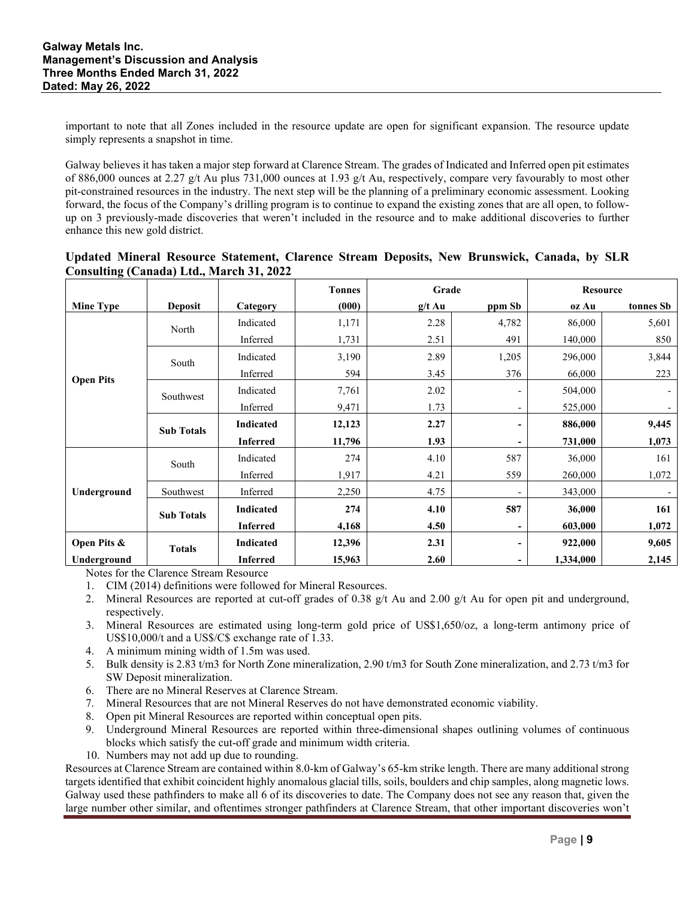important to note that all Zones included in the resource update are open for significant expansion. The resource update simply represents a snapshot in time.

Galway believes it has taken a major step forward at Clarence Stream. The grades of Indicated and Inferred open pit estimates of 886,000 ounces at 2.27 g/t Au plus 731,000 ounces at 1.93 g/t Au, respectively, compare very favourably to most other pit-constrained resources in the industry. The next step will be the planning of a preliminary economic assessment. Looking forward, the focus of the Company's drilling program is to continue to expand the existing zones that are all open, to followup on 3 previously-made discoveries that weren't included in the resource and to make additional discoveries to further enhance this new gold district.

|                  |                   |                  | <b>Tonnes</b> | Grade    |                              |           | <b>Resource</b> |
|------------------|-------------------|------------------|---------------|----------|------------------------------|-----------|-----------------|
| <b>Mine Type</b> | Deposit           | Category         | (000)         | $g/t$ Au | ppm Sb                       | oz Au     | tonnes Sb       |
|                  | North             | Indicated        | 1,171         | 2.28     | 4,782                        | 86,000    | 5,601           |
|                  |                   | Inferred         | 1,731         | 2.51     | 491                          | 140,000   | 850             |
|                  | South             | Indicated        | 3,190         | 2.89     | 1,205                        | 296,000   | 3,844           |
|                  |                   | Inferred         | 594           | 3.45     | 376                          | 66,000    | 223             |
| <b>Open Pits</b> | Southwest         | Indicated        | 7,761         | 2.02     |                              | 504,000   | $\blacksquare$  |
|                  |                   | Inferred         | 9,471         | 1.73     | $\qquad \qquad \blacksquare$ | 525,000   |                 |
|                  | <b>Sub Totals</b> | <b>Indicated</b> | 12,123        | 2.27     | -                            | 886,000   | 9,445           |
|                  |                   | <b>Inferred</b>  | 11,796        | 1.93     | $\blacksquare$               | 731,000   | 1,073           |
|                  | South             | Indicated        | 274           | 4.10     | 587                          | 36,000    | 161             |
|                  |                   | Inferred         | 1,917         | 4.21     | 559                          | 260,000   | 1,072           |
| Underground      | Southwest         | Inferred         | 2,250         | 4.75     |                              | 343,000   |                 |
|                  | <b>Sub Totals</b> | <b>Indicated</b> | 274           | 4.10     | 587                          | 36,000    | 161             |
|                  |                   | <b>Inferred</b>  | 4,168         | 4.50     | $\blacksquare$               | 603,000   | 1,072           |
| Open Pits &      | <b>Totals</b>     | <b>Indicated</b> | 12,396        | 2.31     | -                            | 922,000   | 9,605           |
| Underground      |                   | <b>Inferred</b>  | 15,963        | 2.60     |                              | 1,334,000 | 2,145           |

|  |                                                 |  |  | Updated Mineral Resource Statement, Clarence Stream Deposits, New Brunswick, Canada, by SLR |  |  |
|--|-------------------------------------------------|--|--|---------------------------------------------------------------------------------------------|--|--|
|  | <b>Consulting (Canada) Ltd., March 31, 2022</b> |  |  |                                                                                             |  |  |

Notes for the Clarence Stream Resource

- 1. CIM (2014) definitions were followed for Mineral Resources.
- 2. Mineral Resources are reported at cut-off grades of 0.38  $g/t$  Au and 2.00  $g/t$  Au for open pit and underground, respectively.
- 3. Mineral Resources are estimated using long-term gold price of US\$1,650/oz, a long-term antimony price of US\$10,000/t and a US\$/C\$ exchange rate of 1.33.
- 4. A minimum mining width of 1.5m was used.
- 5. Bulk density is 2.83 t/m3 for North Zone mineralization, 2.90 t/m3 for South Zone mineralization, and 2.73 t/m3 for SW Deposit mineralization.
- 6. There are no Mineral Reserves at Clarence Stream.
- 7. Mineral Resources that are not Mineral Reserves do not have demonstrated economic viability.
- 8. Open pit Mineral Resources are reported within conceptual open pits.
- 9. Underground Mineral Resources are reported within three-dimensional shapes outlining volumes of continuous blocks which satisfy the cut-off grade and minimum width criteria.
- 10. Numbers may not add up due to rounding.

Resources at Clarence Stream are contained within 8.0-km of Galway's 65-km strike length. There are many additional strong targets identified that exhibit coincident highly anomalous glacial tills, soils, boulders and chip samples, along magnetic lows. Galway used these pathfinders to make all 6 of its discoveries to date. The Company does not see any reason that, given the large number other similar, and oftentimes stronger pathfinders at Clarence Stream, that other important discoveries won't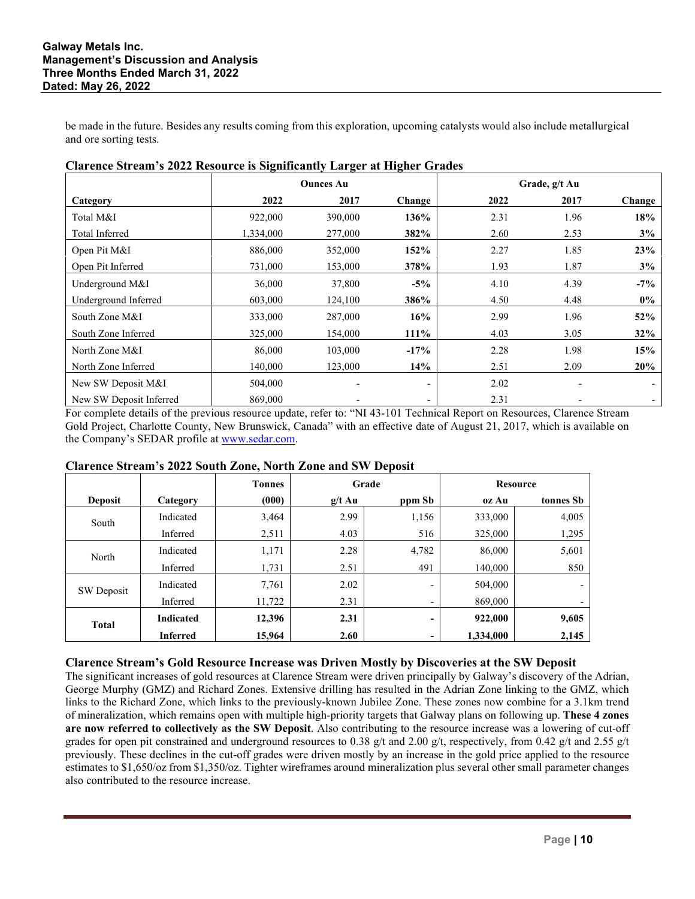be made in the future. Besides any results coming from this exploration, upcoming catalysts would also include metallurgical and ore sorting tests.

| стателее эн санг з 2022 годуш ее тэ этеппеаниу даг сег ас гиспет эт ачез |                  |         |         |               |      |        |
|--------------------------------------------------------------------------|------------------|---------|---------|---------------|------|--------|
|                                                                          | <b>Ounces Au</b> |         |         | Grade, g/t Au |      |        |
| Category                                                                 | 2022             | 2017    | Change  | 2022          | 2017 | Change |
| Total M&I                                                                | 922,000          | 390,000 | 136%    | 2.31          | 1.96 | 18%    |
| Total Inferred                                                           | 1,334,000        | 277,000 | 382%    | 2.60          | 2.53 | 3%     |
| Open Pit M&I                                                             | 886,000          | 352,000 | 152%    | 2.27          | 1.85 | 23%    |
| Open Pit Inferred                                                        | 731,000          | 153,000 | 378%    | 1.93          | 1.87 | 3%     |
| Underground M&I                                                          | 36,000           | 37,800  | $-5%$   | 4.10          | 4.39 | $-7\%$ |
| Underground Inferred                                                     | 603,000          | 124,100 | 386%    | 4.50          | 4.48 | $0\%$  |
| South Zone M&I                                                           | 333,000          | 287,000 | 16%     | 2.99          | 1.96 | 52%    |
| South Zone Inferred                                                      | 325,000          | 154.000 | $111\%$ | 4.03          | 3.05 | 32%    |
| North Zone M&I                                                           | 86,000           | 103,000 | $-17%$  | 2.28          | 1.98 | 15%    |
| North Zone Inferred                                                      | 140,000          | 123,000 | 14%     | 2.51          | 2.09 | 20%    |
| New SW Deposit M&I                                                       | 504,000          |         |         | 2.02          |      |        |
| New SW Deposit Inferred                                                  | 869,000          |         | -       | 2.31          |      |        |

# **Clarence Stream's 2022 Resource is Significantly Larger at Higher Grades**

For complete details of the previous resource update, refer to: "NI 43-101 Technical Report on Resources, Clarence Stream Gold Project, Charlotte County, New Brunswick, Canada" with an effective date of August 21, 2017, which is available on the Company's SEDAR profile at [www.sedar.com.](http://www.sedar.com/)

# **Clarence Stream's 2022 South Zone, North Zone and SW Deposit**

|                |                  | <b>Tonnes</b> |          | Grade                    |           | <b>Resource</b>          |
|----------------|------------------|---------------|----------|--------------------------|-----------|--------------------------|
| <b>Deposit</b> | Category         | (000)         | $g/t$ Au | ppm Sb                   | oz Au     | tonnes Sb                |
| South          | Indicated        | 3,464         | 2.99     | 1,156                    | 333,000   | 4,005                    |
|                | Inferred         | 2,511         | 4.03     | 516                      | 325,000   | 1,295                    |
| North          | Indicated        | 1,171         | 2.28     | 4,782                    | 86,000    | 5,601                    |
|                | Inferred         | 1,731         | 2.51     | 491                      | 140,000   | 850                      |
| SW Deposit     | Indicated        | 7,761         | 2.02     | $\overline{\phantom{a}}$ | 504,000   | $\overline{\phantom{0}}$ |
|                | Inferred         | 11,722        | 2.31     | $\overline{\phantom{a}}$ | 869,000   | $\overline{\phantom{a}}$ |
| <b>Total</b>   | <b>Indicated</b> | 12,396        | 2.31     | -                        | 922,000   | 9,605                    |
|                | <b>Inferred</b>  | 15,964        | 2.60     | ۰                        | 1.334,000 | 2,145                    |

# **Clarence Stream's Gold Resource Increase was Driven Mostly by Discoveries at the SW Deposit**

The significant increases of gold resources at Clarence Stream were driven principally by Galway's discovery of the Adrian, George Murphy (GMZ) and Richard Zones. Extensive drilling has resulted in the Adrian Zone linking to the GMZ, which links to the Richard Zone, which links to the previously-known Jubilee Zone. These zones now combine for a 3.1km trend of mineralization, which remains open with multiple high-priority targets that Galway plans on following up. **These 4 zones are now referred to collectively as the SW Deposit**. Also contributing to the resource increase was a lowering of cut-off grades for open pit constrained and underground resources to 0.38 g/t and 2.00 g/t, respectively, from 0.42 g/t and 2.55 g/t previously. These declines in the cut-off grades were driven mostly by an increase in the gold price applied to the resource estimates to \$1,650/oz from \$1,350/oz. Tighter wireframes around mineralization plus several other small parameter changes also contributed to the resource increase.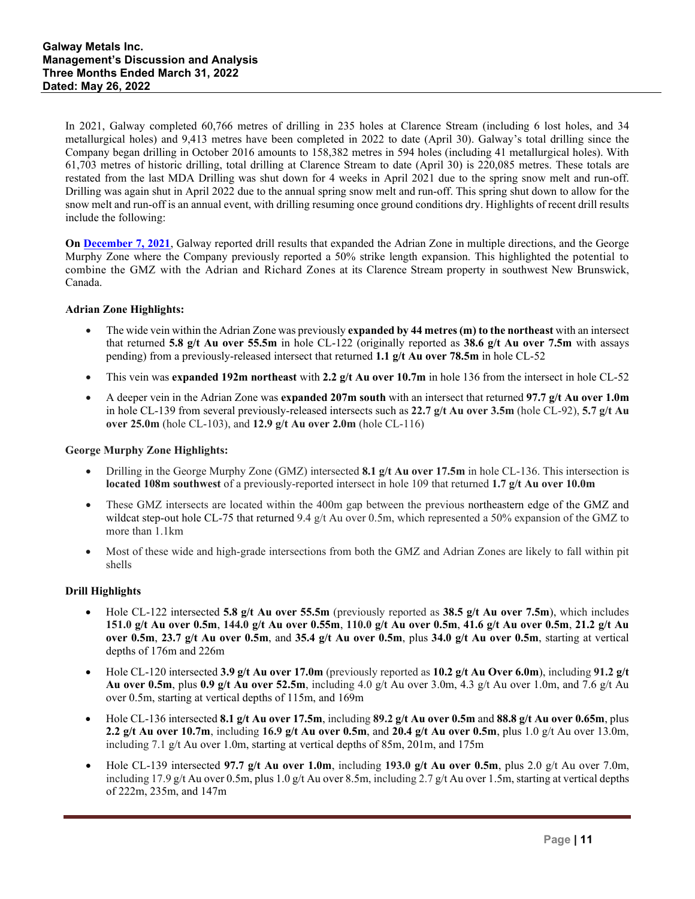In 2021, Galway completed 60,766 metres of drilling in 235 holes at Clarence Stream (including 6 lost holes, and 34 metallurgical holes) and 9,413 metres have been completed in 2022 to date (April 30). Galway's total drilling since the Company began drilling in October 2016 amounts to 158,382 metres in 594 holes (including 41 metallurgical holes). With 61,703 metres of historic drilling, total drilling at Clarence Stream to date (April 30) is 220,085 metres. These totals are restated from the last MDA Drilling was shut down for 4 weeks in April 2021 due to the spring snow melt and run-off. Drilling was again shut in April 2022 due to the annual spring snow melt and run-off. This spring shut down to allow for the snow melt and run-off is an annual event, with drilling resuming once ground conditions dry. Highlights of recent drill results include the following:

**On [December 7, 2021](https://galwaymetalsinc.com/2021/12/galway-metals-adrian-and-gmz-gaps-return-5-8-g-t-au-over-55-5m-and-8-1-g-t-au-over-17-5m/)**, Galway reported drill results that expanded the Adrian Zone in multiple directions, and the George Murphy Zone where the Company previously reported a 50% strike length expansion. This highlighted the potential to combine the GMZ with the Adrian and Richard Zones at its Clarence Stream property in southwest New Brunswick, Canada.

# **Adrian Zone Highlights:**

- The wide vein within the Adrian Zone was previously **expanded by 44 metres (m) to the northeast** with an intersect that returned **5.8 g/t Au over 55.5m** in hole CL-122 (originally reported as **38.6 g/t Au over 7.5m** with assays pending) from a previously-released intersect that returned **1.1 g/t Au over 78.5m** in hole CL-52
- This vein was **expanded 192m northeast** with **2.2 g/t Au over 10.7m** in hole 136 from the intersect in hole CL-52
- A deeper vein in the Adrian Zone was **expanded 207m south** with an intersect that returned **97.7 g/t Au over 1.0m** in hole CL-139 from several previously-released intersects such as **22.7 g/t Au over 3.5m** (hole CL-92), **5.7 g/t Au over 25.0m** (hole CL-103), and **12.9 g/t Au over 2.0m** (hole CL-116)

### **George Murphy Zone Highlights:**

- Drilling in the George Murphy Zone (GMZ) intersected **8.1 g/t Au over 17.5m** in hole CL-136. This intersection is **located 108m southwest** of a previously-reported intersect in hole 109 that returned **1.7 g/t Au over 10.0m**
- These GMZ intersects are located within the 400m gap between the previous northeastern edge of the GMZ and wildcat step-out hole CL-75 that returned 9.4 g/t Au over 0.5m, which represented a 50% expansion of the GMZ to more than 1.1km
- Most of these wide and high-grade intersections from both the GMZ and Adrian Zones are likely to fall within pit shells

### **Drill Highlights**

- Hole CL-122 intersected **5.8 g/t Au over 55.5m** (previously reported as **38.5 g/t Au over 7.5m**), which includes **151.0 g/t Au over 0.5m**, **144.0 g/t Au over 0.55m**, **110.0 g/t Au over 0.5m**, **41.6 g/t Au over 0.5m**, **21.2 g/t Au over 0.5m**, **23.7 g/t Au over 0.5m**, and **35.4 g/t Au over 0.5m**, plus **34.0 g/t Au over 0.5m**, starting at vertical depths of 176m and 226m
- Hole CL-120 intersected **3.9 g/t Au over 17.0m** (previously reported as **10.2 g/t Au Over 6.0m**), including **91.2 g/t Au over 0.5m**, plus **0.9 g/t Au over 52.5m**, including 4.0 g/t Au over 3.0m, 4.3 g/t Au over 1.0m, and 7.6 g/t Au over 0.5m, starting at vertical depths of 115m, and 169m
- Hole CL-136 intersected **8.1 g/t Au over 17.5m**, including **89.2 g/t Au over 0.5m** and **88.8 g/t Au over 0.65m**, plus **2.2 g/t Au over 10.7m**, including **16.9 g/t Au over 0.5m**, and **20.4 g/t Au over 0.5m**, plus 1.0 g/t Au over 13.0m, including 7.1 g/t Au over 1.0m, starting at vertical depths of 85m, 201m, and 175m
- Hole CL-139 intersected **97.7 g/t Au over 1.0m**, including **193.0 g/t Au over 0.5m**, plus 2.0 g/t Au over 7.0m, including 17.9 g/t Au over 0.5m, plus 1.0 g/t Au over 8.5m, including 2.7 g/t Au over 1.5m, starting at vertical depths of 222m, 235m, and 147m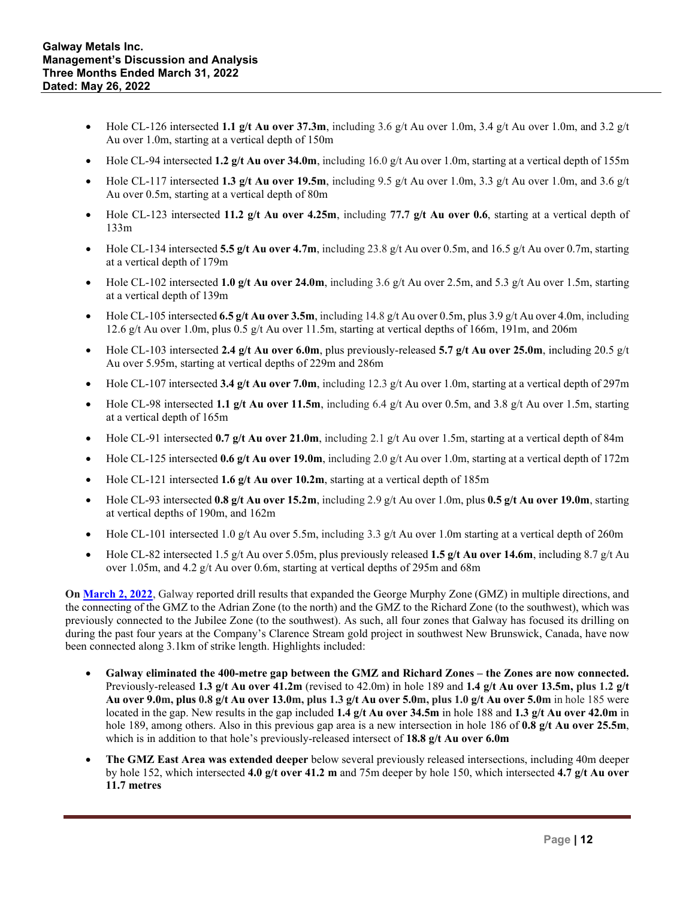- Hole CL-126 intersected **1.1**  $g/t$  Au over 37.3m, including 3.6  $g/t$  Au over 1.0m, 3.4  $g/t$  Au over 1.0m, and 3.2  $g/t$ Au over 1.0m, starting at a vertical depth of 150m
- Hole CL-94 intersected **1.2 g/t Au over 34.0m**, including 16.0 g/t Au over 1.0m, starting at a vertical depth of 155m
- Hole CL-117 intersected **1.3 g/t Au over 19.5m**, including 9.5 g/t Au over 1.0m, 3.3 g/t Au over 1.0m, and 3.6 g/t Au over 0.5m, starting at a vertical depth of 80m
- Hole CL-123 intersected **11.2 g/t Au over 4.25m**, including **77.7 g/t Au over 0.6**, starting at a vertical depth of 133m
- Hole CL-134 intersected **5.5 g/t Au over 4.7m**, including 23.8 g/t Au over 0.5m, and 16.5 g/t Au over 0.7m, starting at a vertical depth of 179m
- Hole CL-102 intersected 1.0  $g/t$  Au over 24.0m, including 3.6  $g/t$  Au over 2.5m, and 5.3  $g/t$  Au over 1.5m, starting at a vertical depth of 139m
- Hole CL-105 intersected **6.5 g/t Au over 3.5m**, including 14.8 g/t Au over 0.5m, plus 3.9 g/t Au over 4.0m, including 12.6 g/t Au over 1.0m, plus 0.5 g/t Au over 11.5m, starting at vertical depths of 166m, 191m, and 206m
- Hole CL-103 intersected **2.4 g/t Au over 6.0m**, plus previously-released **5.7 g/t Au over 25.0m**, including 20.5 g/t Au over 5.95m, starting at vertical depths of 229m and 286m
- Hole CL-107 intersected **3.4 g/t Au over 7.0m**, including 12.3 g/t Au over 1.0m, starting at a vertical depth of 297m
- Hole CL-98 intersected 1.1  $g/t$  Au over 11.5m, including 6.4  $g/t$  Au over 0.5m, and 3.8  $g/t$  Au over 1.5m, starting at a vertical depth of 165m
- Hole CL-91 intersected **0.7 g/t Au over 21.0m**, including 2.1 g/t Au over 1.5m, starting at a vertical depth of 84m
- Hole CL-125 intersected **0.6 g/t Au over 19.0m**, including 2.0 g/t Au over 1.0m, starting at a vertical depth of 172m
- Hole CL-121 intersected **1.6 g/t Au over 10.2m**, starting at a vertical depth of 185m
- Hole CL-93 intersected **0.8 g/t Au over 15.2m**, including 2.9 g/t Au over 1.0m, plus **0.5 g/t Au over 19.0m**, starting at vertical depths of 190m, and 162m
- Hole CL-101 intersected 1.0 g/t Au over 5.5m, including 3.3 g/t Au over 1.0m starting at a vertical depth of 260m
- Hole CL-82 intersected 1.5 g/t Au over 5.05m, plus previously released **1.5 g/t Au over 14.6m**, including 8.7 g/t Au over 1.05m, and 4.2 g/t Au over 0.6m, starting at vertical depths of 295m and 68m

**On [March](https://galwaymetalsinc.com/2022/03/galway-metals-connects-gmz-to-adrian-and-richard-zones-with-4-0-g-t-au-over-41-2m-plus-7-3-g-t-au-over-13-5m-and-1-4-g-t-au-over-34-5m-gmz-expands-with-4-4-g-t-au-over-21-35m-adrian-extends-by-50m/) 2, 2022**, Galway reported drill results that expanded the George Murphy Zone (GMZ) in multiple directions, and the connecting of the GMZ to the Adrian Zone (to the north) and the GMZ to the Richard Zone (to the southwest), which was previously connected to the Jubilee Zone (to the southwest). As such, all four zones that Galway has focused its drilling on during the past four years at the Company's Clarence Stream gold project in southwest New Brunswick, Canada, have now been connected along 3.1km of strike length. Highlights included:

- **Galway eliminated the 400-metre gap between the GMZ and Richard Zones the Zones are now connected.** Previously-released **1.3 g/t Au over 41.2m** (revised to 42.0m) in hole 189 and **1.4 g/t Au over 13.5m, plus 1.2 g/t Au over 9.0m, plus 0.8 g/t Au over 13.0m, plus 1.3 g/t Au over 5.0m, plus 1.0 g/t Au over 5.0m** in hole 185 were located in the gap. New results in the gap included **1.4 g/t Au over 34.5m** in hole 188 and **1.3 g/t Au over 42.0m** in hole 189, among others. Also in this previous gap area is a new intersection in hole 186 of **0.8 g/t Au over 25.5m**, which is in addition to that hole's previously-released intersect of **18.8 g/t Au over 6.0m**
- **The GMZ East Area was extended deeper** below several previously released intersections, including 40m deeper by hole 152, which intersected **4.0 g/t over 41.2 m** and 75m deeper by hole 150, which intersected **4.7 g/t Au over 11.7 metres**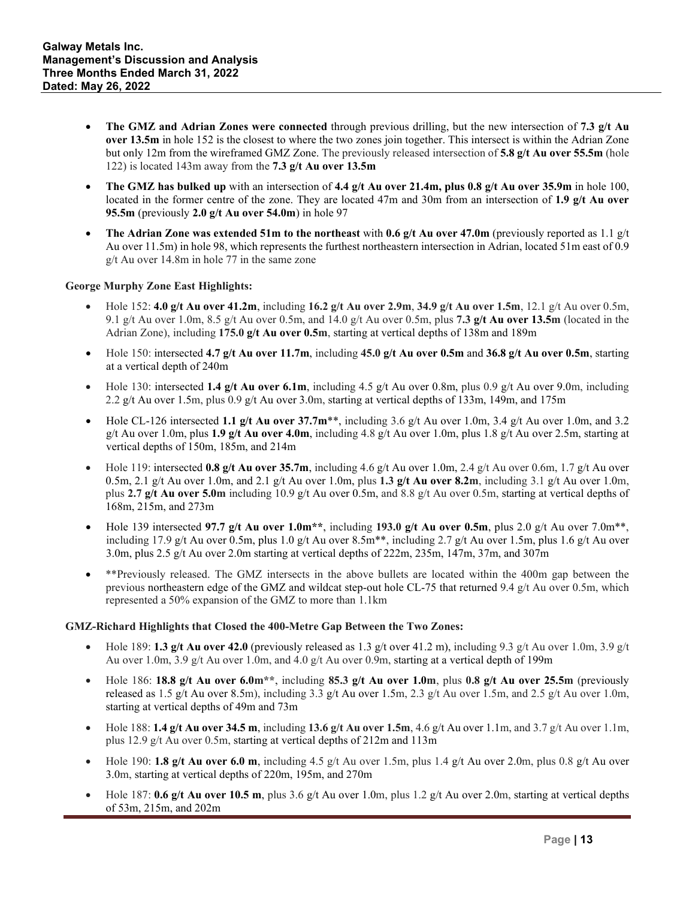- **The GMZ and Adrian Zones were connected** through previous drilling, but the new intersection of **7.3 g/t Au over 13.5m** in hole 152 is the closest to where the two zones join together. This intersect is within the Adrian Zone but only 12m from the wireframed GMZ Zone. The previously released intersection of **5.8 g/t Au over 55.5m** (hole 122) is located 143m away from the **7.3 g/t Au over 13.5m**
- **The GMZ has bulked up** with an intersection of **4.4 g/t Au over 21.4m, plus 0.8 g/t Au over 35.9m** in hole 100, located in the former centre of the zone. They are located 47m and 30m from an intersection of 1.9 g/t Au over **95.5m** (previously **2.0 g/t Au over 54.0m**) in hole 97
- **The Adrian Zone was extended 51m to the northeast** with **0.6 g/t Au over 47.0m** (previously reported as 1.1 g/t Au over 11.5m) in hole 98, which represents the furthest northeastern intersection in Adrian, located 51m east of 0.9 g/t Au over 14.8m in hole 77 in the same zone

# **George Murphy Zone East Highlights:**

- Hole 152: **4.0 g/t Au over 41.2m**, including **16.2 g/t Au over 2.9m**, **34.9 g/t Au over 1.5m**, 12.1 g/t Au over 0.5m, 9.1 g/t Au over 1.0m, 8.5 g/t Au over 0.5m, and 14.0 g/t Au over 0.5m, plus **7.3 g/t Au over 13.5m** (located in the Adrian Zone), including **175.0 g/t Au over 0.5m**, starting at vertical depths of 138m and 189m
- Hole 150: intersected **4.7 g/t Au over 11.7m**, including **45.0 g/t Au over 0.5m** and **36.8 g/t Au over 0.5m**, starting at a vertical depth of 240m
- Hole 130: intersected **1.4 g/t Au over 6.1m**, including 4.5 g/t Au over 0.8m, plus 0.9 g/t Au over 9.0m, including 2.2 g/t Au over 1.5m, plus 0.9 g/t Au over 3.0m, starting at vertical depths of 133m, 149m, and 175m
- Hole CL-126 intersected **1.1 g/t Au over 37.7m**\*\*, including 3.6 g/t Au over 1.0m, 3.4 g/t Au over 1.0m, and 3.2 g/t Au over 1.0m, plus **1.9 g/t Au over 4.0m**, including 4.8 g/t Au over 1.0m, plus 1.8 g/t Au over 2.5m, starting at vertical depths of 150m, 185m, and 214m
- Hole 119: intersected **0.8 g/t Au over 35.7m**, including 4.6 g/t Au over 1.0m, 2.4 g/t Au over 0.6m, 1.7 g/t Au over 0.5m, 2.1 g/t Au over 1.0m, and 2.1 g/t Au over 1.0m, plus **1.3 g/t Au over 8.2m**, including 3.1 g/t Au over 1.0m, plus **2.7 g/t Au over 5.0m** including 10.9 g/t Au over 0.5m, and 8.8 g/t Au over 0.5m, starting at vertical depths of 168m, 215m, and 273m
- Hole 139 intersected **97.7 g/t Au over 1.0m\*\***, including **193.0 g/t Au over 0.5m**, plus 2.0 g/t Au over 7.0m\*\*, including 17.9 g/t Au over 0.5m, plus 1.0 g/t Au over 8.5m<sup>\*\*</sup>, including 2.7 g/t Au over 1.5m, plus 1.6 g/t Au over 3.0m, plus 2.5 g/t Au over 2.0m starting at vertical depths of 222m, 235m, 147m, 37m, and 307m
- \*\*Previously released. The GMZ intersects in the above bullets are located within the 400m gap between the previous northeastern edge of the GMZ and wildcat step-out hole CL-75 that returned 9.4 g/t Au over 0.5m, which represented a 50% expansion of the GMZ to more than 1.1km

### **GMZ-Richard Highlights that Closed the 400-Metre Gap Between the Two Zones:**

- Hole 189: **1.3 g/t Au over 42.0** (previously released as 1.3 g/t over 41.2 m), including 9.3 g/t Au over 1.0m, 3.9 g/t Au over 1.0m, 3.9 g/t Au over 1.0m, and 4.0 g/t Au over 0.9m, starting at a vertical depth of 199m
- Hole 186: **18.8 g/t Au over 6.0m\*\***, including **85.3 g/t Au over 1.0m**, plus **0.8 g/t Au over 25.5m** (previously released as 1.5 g/t Au over 8.5m), including 3.3 g/t Au over 1.5m, 2.3 g/t Au over 1.5m, and 2.5 g/t Au over 1.0m, starting at vertical depths of 49m and 73m
- Hole 188: **1.4 g/t Au over 34.5 m**, including **13.6 g/t Au over 1.5m**, 4.6 g/t Au over 1.1m, and 3.7 g/t Au over 1.1m, plus 12.9 g/t Au over 0.5m, starting at vertical depths of 212m and 113m
- Hole 190: **1.8 g/t Au over 6.0 m**, including 4.5 g/t Au over 1.5m, plus 1.4 g/t Au over 2.0m, plus 0.8 g/t Au over 3.0m, starting at vertical depths of 220m, 195m, and 270m
- Hole 187: **0.6 g/t Au over 10.5 m**, plus 3.6 g/t Au over 1.0m, plus 1.2 g/t Au over 2.0m, starting at vertical depths of 53m, 215m, and 202m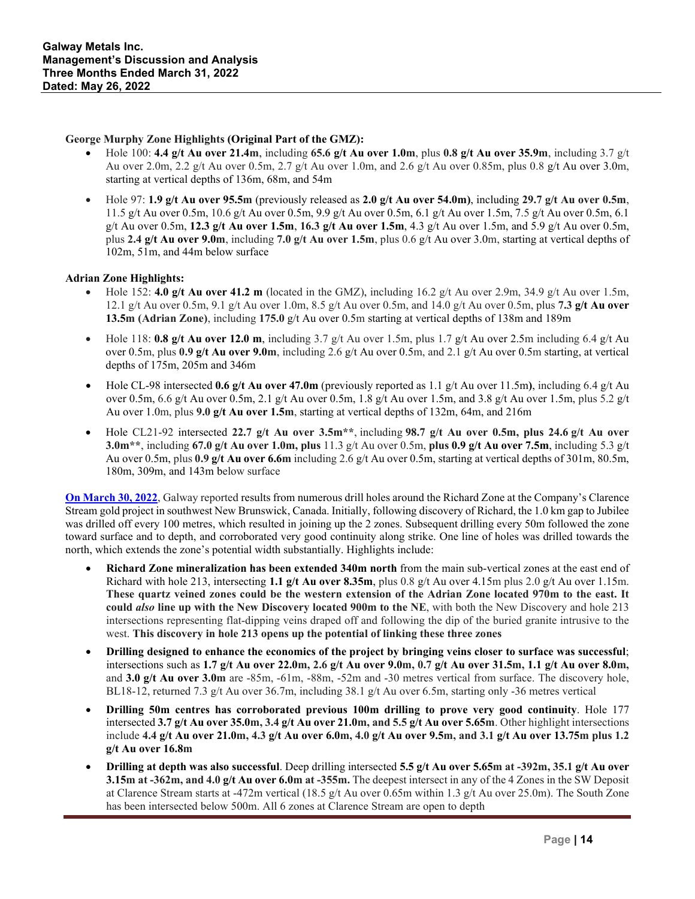### **George Murphy Zone Highlights (Original Part of the GMZ):**

- Hole 100: **4.4 g/t Au over 21.4m**, including **65.6 g/t Au over 1.0m**, plus **0.8 g/t Au over 35.9m**, including 3.7 g/t Au over 2.0m, 2.2 g/t Au over 0.5m, 2.7 g/t Au over 1.0m, and 2.6 g/t Au over 0.85m, plus 0.8 g/t Au over 3.0m, starting at vertical depths of 136m, 68m, and 54m
- Hole 97: **1.9 g/t Au over 95.5m** (previously released as **2.0 g/t Au over 54.0m)**, including **29.7 g/t Au over 0.5m**, 11.5 g/t Au over 0.5m, 10.6 g/t Au over 0.5m, 9.9 g/t Au over 0.5m, 6.1 g/t Au over 1.5m, 7.5 g/t Au over 0.5m, 6.1 g/t Au over 0.5m, **12.3 g/t Au over 1.5m**, **16.3 g/t Au over 1.5m**, 4.3 g/t Au over 1.5m, and 5.9 g/t Au over 0.5m, plus **2.4 g/t Au over 9.0m**, including **7.0 g/t Au over 1.5m**, plus 0.6 g/t Au over 3.0m, starting at vertical depths of 102m, 51m, and 44m below surface

# **Adrian Zone Highlights:**

- Hole 152: **4.0 g/t Au over 41.2 m** (located in the GMZ), including 16.2 g/t Au over 2.9m, 34.9 g/t Au over 1.5m, 12.1 g/t Au over 0.5m, 9.1 g/t Au over 1.0m, 8.5 g/t Au over 0.5m, and 14.0 g/t Au over 0.5m, plus **7.3 g/t Au over 13.5m (Adrian Zone)**, including **175.0** g/t Au over 0.5m starting at vertical depths of 138m and 189m
- Hole 118: **0.8 g/t Au over 12.0 m**, including 3.7 g/t Au over 1.5m, plus 1.7 g/t Au over 2.5m including 6.4 g/t Au over 0.5m, plus **0.9 g/t Au over 9.0m**, including 2.6 g/t Au over 0.5m, and 2.1 g/t Au over 0.5m starting, at vertical depths of 175m, 205m and 346m
- Hole CL-98 intersected **0.6 g/t Au over 47.0m** (previously reported as 1.1 g/t Au over 11.5m), including 6.4 g/t Au over 0.5m, 6.6 g/t Au over 0.5m, 2.1 g/t Au over 0.5m, 1.8 g/t Au over 1.5m, and 3.8 g/t Au over 1.5m, plus 5.2 g/t Au over 1.0m, plus **9.0 g/t Au over 1.5m**, starting at vertical depths of 132m, 64m, and 216m
- Hole CL21-92 intersected **22.7 g/t Au over 3.5m\*\***, including **98.7 g/t Au over 0.5m, plus 24.6 g/t Au over 3.0m\*\***, including **67.0 g/t Au over 1.0m, plus** 11.3 g/t Au over 0.5m, **plus 0.9 g/t Au over 7.5m**, including 5.3 g/t Au over 0.5m, plus **0.9 g/t Au over 6.6m** including 2.6 g/t Au over 0.5m, starting at vertical depths of 301m, 80.5m, 180m, 309m, and 143m below surface

**On [March](https://galwaymetalsinc.com/2022/03/galway-metals-richard-drilling-intersects-3-7-g-t-au-over-35-0m-plus-3-4-g-t-au-over-21-0m-in-one-hole-and-4-4-g-t-au-over-21-0m-in-another-and-extends-richard-340m-north/) 30, 2022**, Galway reported results from numerous drill holes around the Richard Zone at the Company's Clarence Stream gold project in southwest New Brunswick, Canada. Initially, following discovery of Richard, the 1.0 km gap to Jubilee was drilled off every 100 metres, which resulted in joining up the 2 zones. Subsequent drilling every 50m followed the zone toward surface and to depth, and corroborated very good continuity along strike. One line of holes was drilled towards the north, which extends the zone's potential width substantially. Highlights include:

- **Richard Zone mineralization has been extended 340m north** from the main sub-vertical zones at the east end of Richard with hole 213, intersecting **1.1 g/t Au over 8.35m**, plus 0.8 g/t Au over 4.15m plus 2.0 g/t Au over 1.15m. **These quartz veined zones could be the western extension of the Adrian Zone located 970m to the east. It could** *also* **line up with the New Discovery located 900m to the NE**, with both the New Discovery and hole 213 intersections representing flat-dipping veins draped off and following the dip of the buried granite intrusive to the west. **This discovery in hole 213 opens up the potential of linking these three zones**
- **Drilling designed to enhance the economics of the project by bringing veins closer to surface was successful**; intersections such as **1.7 g/t Au over 22.0m, 2.6 g/t Au over 9.0m, 0.7 g/t Au over 31.5m, 1.1 g/t Au over 8.0m,**  and **3.0 g/t Au over 3.0m** are -85m, -61m, -88m, -52m and -30 metres vertical from surface. The discovery hole, BL18-12, returned 7.3 g/t Au over 36.7m, including  $38.1$  g/t Au over 6.5m, starting only -36 metres vertical
- **Drilling 50m centres has corroborated previous 100m drilling to prove very good continuity**. Hole 177 intersected **3.7 g/t Au over 35.0m, 3.4 g/t Au over 21.0m, and 5.5 g/t Au over 5.65m**. Other highlight intersections include **4.4 g/t Au over 21.0m, 4.3 g/t Au over 6.0m, 4.0 g/t Au over 9.5m, and 3.1 g/t Au over 13.75m plus 1.2 g/t Au over 16.8m**
- **Drilling at depth was also successful**. Deep drilling intersected **5.5 g/t Au over 5.65m at -392m, 35.1 g/t Au over 3.15m at -362m, and 4.0 g/t Au over 6.0m at -355m.** The deepest intersect in any of the 4 Zones in the SW Deposit at Clarence Stream starts at -472m vertical (18.5 g/t Au over 0.65m within 1.3 g/t Au over 25.0m). The South Zone has been intersected below 500m. All 6 zones at Clarence Stream are open to depth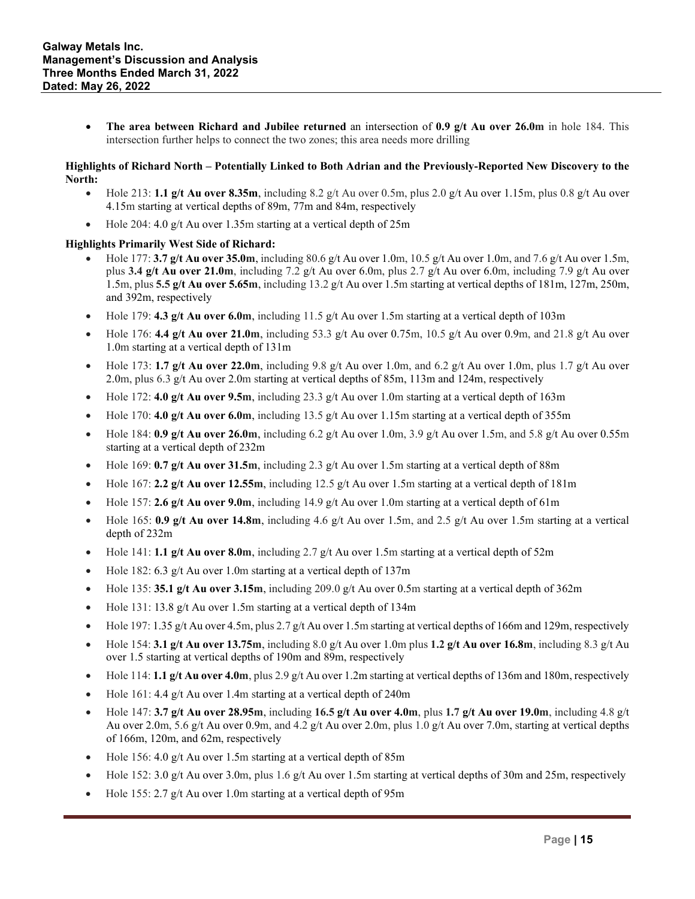• **The area between Richard and Jubilee returned** an intersection of **0.9 g/t Au over 26.0m** in hole 184. This intersection further helps to connect the two zones; this area needs more drilling

### **Highlights of Richard North – Potentially Linked to Both Adrian and the Previously-Reported New Discovery to the North:**

- Hole 213: 1.1  $g/t$  Au over 8.35m, including 8.2  $g/t$  Au over 0.5m, plus 2.0  $g/t$  Au over 1.15m, plus 0.8  $g/t$  Au over 4.15m starting at vertical depths of 89m, 77m and 84m, respectively
- Hole 204: 4.0 g/t Au over 1.35m starting at a vertical depth of 25m

# **Highlights Primarily West Side of Richard:**

- Hole 177: **3.7 g/t Au over 35.0m**, including 80.6 g/t Au over 1.0m, 10.5 g/t Au over 1.0m, and 7.6 g/t Au over 1.5m, plus **3.4 g/t Au over 21.0m**, including 7.2 g/t Au over 6.0m, plus 2.7 g/t Au over 6.0m, including 7.9 g/t Au over 1.5m, plus **5.5 g/t Au over 5.65m**, including 13.2 g/t Au over 1.5m starting at vertical depths of 181m, 127m, 250m, and 392m, respectively
- Hole 179: **4.3 g/t Au over 6.0m**, including 11.5 g/t Au over 1.5m starting at a vertical depth of 103m
- Hole 176: **4.4 g/t Au over 21.0m**, including 53.3 g/t Au over 0.75m, 10.5 g/t Au over 0.9m, and 21.8 g/t Au over 1.0m starting at a vertical depth of 131m
- Hole 173: **1.7**  $g/t$  Au over 22.0m, including 9.8  $g/t$  Au over 1.0m, and 6.2  $g/t$  Au over 1.0m, plus 1.7  $g/t$  Au over 2.0m, plus 6.3 g/t Au over 2.0m starting at vertical depths of 85m, 113m and 124m, respectively
- Hole 172: **4.0 g/t Au over 9.5m**, including 23.3 g/t Au over 1.0m starting at a vertical depth of 163m
- Hole 170: **4.0 g/t Au over 6.0m**, including 13.5 g/t Au over 1.15m starting at a vertical depth of 355m
- Hole 184:  $0.9$  g/t Au over 26.0m, including 6.2 g/t Au over 1.0m, 3.9 g/t Au over 1.5m, and 5.8 g/t Au over 0.55m starting at a vertical depth of 232m
- Hole 169: **0.7 g/t Au over 31.5m**, including 2.3 g/t Au over 1.5m starting at a vertical depth of 88m
- Hole 167: **2.2** g/t Au over 12.55m, including 12.5 g/t Au over 1.5m starting at a vertical depth of 181m
- Hole 157: **2.6 g/t Au over 9.0m**, including 14.9 g/t Au over 1.0m starting at a vertical depth of 61m
- Hole 165: **0.9 g/t Au over 14.8m**, including 4.6 g/t Au over 1.5m, and 2.5 g/t Au over 1.5m starting at a vertical depth of 232m
- Hole 141: **1.1 g/t Au over 8.0m**, including 2.7 g/t Au over 1.5m starting at a vertical depth of 52m
- Hole 182: 6.3 g/t Au over 1.0m starting at a vertical depth of 137m
- Hole 135: **35.1 g/t Au over 3.15m**, including 209.0 g/t Au over 0.5m starting at a vertical depth of 362m
- Hole 131: 13.8 g/t Au over 1.5m starting at a vertical depth of 134m
- Hole 197: 1.35 g/t Au over 4.5m, plus 2.7 g/t Au over 1.5m starting at vertical depths of 166m and 129m, respectively
- Hole 154: **3.1 g/t Au over 13.75m**, including 8.0 g/t Au over 1.0m plus **1.2 g/t Au over 16.8m**, including 8.3 g/t Au over 1.5 starting at vertical depths of 190m and 89m, respectively
- Hole 114: **1.1 g/t Au over 4.0m**, plus 2.9 g/t Au over 1.2m starting at vertical depths of 136m and 180m, respectively
- Hole 161: 4.4 g/t Au over 1.4m starting at a vertical depth of 240m
- Hole 147: **3.7 g/t Au over 28.95m**, including **16.5 g/t Au over 4.0m**, plus **1.7 g/t Au over 19.0m**, including 4.8 g/t Au over 2.0m, 5.6 g/t Au over 0.9m, and 4.2 g/t Au over 2.0m, plus 1.0 g/t Au over 7.0m, starting at vertical depths of 166m, 120m, and 62m, respectively
- Hole 156: 4.0 g/t Au over 1.5m starting at a vertical depth of  $85m$
- Hole 152: 3.0 g/t Au over 3.0m, plus 1.6 g/t Au over 1.5m starting at vertical depths of 30m and 25m, respectively
- Hole 155: 2.7 g/t Au over 1.0m starting at a vertical depth of 95m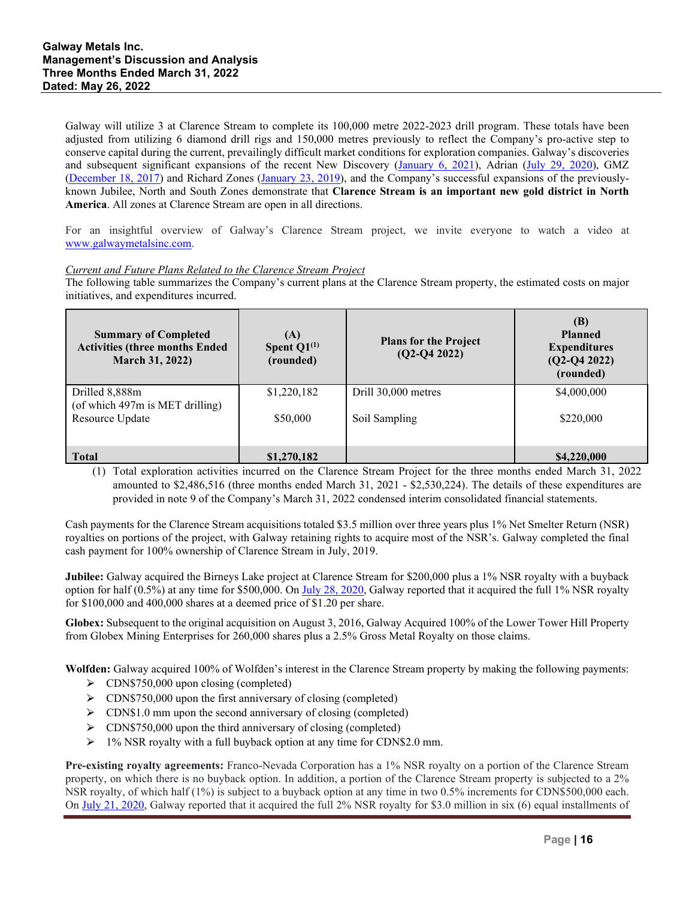Galway will utilize 3 at Clarence Stream to complete its 100,000 metre 2022-2023 drill program. These totals have been adjusted from utilizing 6 diamond drill rigs and 150,000 metres previously to reflect the Company's pro-active step to conserve capital during the current, prevailingly difficult market conditions for exploration companies. Galway's discoveries and subsequent significant expansions of the recent New Discovery [\(January 6, 2021\)](https://galwaymetalsinc.com/2021/01/galway-metals-makes-another-new-discovery-4-8-g-t-au-over-3-1m-900m-nw-of-the-new-adrian-zone-plus-mineralization-returned-400m-east-of-gmz-at-clarence-stream/), Adrian [\(July 29, 2020\)](https://galwaymetalsinc.com/2020/07/galway-metals-intersects-new-wide-vein-with-significant-visible-gold-320-metres-ne-of-gmzs-new-veining-at-clarence-stream/), GMZ [\(December 18, 2017\)](https://galwaymetalsinc.com/2017/12/galway-metals-new-discovery-2-2-g-t-au-over-11-9m/) and Richard Zones [\(January 23, 2019\)](https://galwaymetalsinc.com/2019/01/galway-metals-new-gold-discovery-at-clarence-stream-and-strong-gmz-drill-results/), and the Company's successful expansions of the previouslyknown Jubilee, North and South Zones demonstrate that **Clarence Stream is an important new gold district in North America**. All zones at Clarence Stream are open in all directions.

For an insightful overview of Galway's Clarence Stream project, we invite everyone to watch a video at [www.galwaymetalsinc.com.](http://www.galwaymetalsinc.com/)

### *Current and Future Plans Related to the Clarence Stream Project*

The following table summarizes the Company's current plans at the Clarence Stream property, the estimated costs on major initiatives, and expenditures incurred.

| <b>Summary of Completed</b><br><b>Activities (three months Ended</b><br>March 31, 2022) | (A)<br>Spent $Q1^{(1)}$<br>(rounded) | <b>Plans for the Project</b><br>$(Q2-Q4 2022)$ | (B)<br><b>Planned</b><br><b>Expenditures</b><br>$(Q2-Q4 2022)$<br>(rounded) |
|-----------------------------------------------------------------------------------------|--------------------------------------|------------------------------------------------|-----------------------------------------------------------------------------|
| Drilled 8,888m<br>(of which 497m is MET drilling)                                       | \$1,220,182                          | Drill 30,000 metres                            | \$4,000,000                                                                 |
| Resource Update                                                                         | \$50,000                             | Soil Sampling                                  | \$220,000                                                                   |
|                                                                                         |                                      |                                                |                                                                             |
| <b>Total</b>                                                                            | \$1,270,182                          |                                                | \$4,220,000                                                                 |

(1) Total exploration activities incurred on the Clarence Stream Project for the three months ended March 31, 2022 amounted to \$2,486,516 (three months ended March 31, 2021 - \$2,530,224). The details of these expenditures are provided in note 9 of the Company's March 31, 2022 condensed interim consolidated financial statements.

Cash payments for the Clarence Stream acquisitions totaled \$3.5 million over three years plus 1% Net Smelter Return (NSR) royalties on portions of the project, with Galway retaining rights to acquire most of the NSR's. Galway completed the final cash payment for 100% ownership of Clarence Stream in July, 2019.

**Jubilee:** Galway acquired the Birneys Lake project at Clarence Stream for \$200,000 plus a 1% NSR royalty with a buyback option for half (0.5%) at any time for \$500,000. On [July 28, 2020,](https://galwaymetalsinc.com/2020/07/galway-metals-announces-second-royalty-buy-back-at-its-clarence-stream-property/) Galway reported that it acquired the full 1% NSR royalty for \$100,000 and 400,000 shares at a deemed price of \$1.20 per share.

**Globex:** Subsequent to the original acquisition on August 3, 2016, Galway Acquired 100% of the Lower Tower Hill Property from Globex Mining Enterprises for 260,000 shares plus a 2.5% Gross Metal Royalty on those claims.

**Wolfden:** Galway acquired 100% of Wolfden's interest in the Clarence Stream property by making the following payments:

- $\triangleright$  CDN\$750,000 upon closing (completed)
- > CDN\$750,000 upon the first anniversary of closing (completed)
- $\triangleright$  CDN\$1.0 mm upon the second anniversary of closing (completed)
- $\triangleright$  CDN\$750,000 upon the third anniversary of closing (completed)
- $> 1\%$  NSR royalty with a full buyback option at any time for CDN\$2.0 mm.

**Pre-existing royalty agreements:** Franco-Nevada Corporation has a 1% NSR royalty on a portion of the Clarence Stream property, on which there is no buyback option. In addition, a portion of the Clarence Stream property is subjected to a 2% NSR royalty, of which half (1%) is subject to a buyback option at any time in two 0.5% increments for CDN\$500,000 each. On [July 21, 2020,](https://galwaymetalsinc.com/2020/07/galway-metals-announces-royalty-buy-back-at-its-clarence-stream-property/) Galway reported that it acquired the full  $2\%$  NSR royalty for \$3.0 million in six (6) equal installments of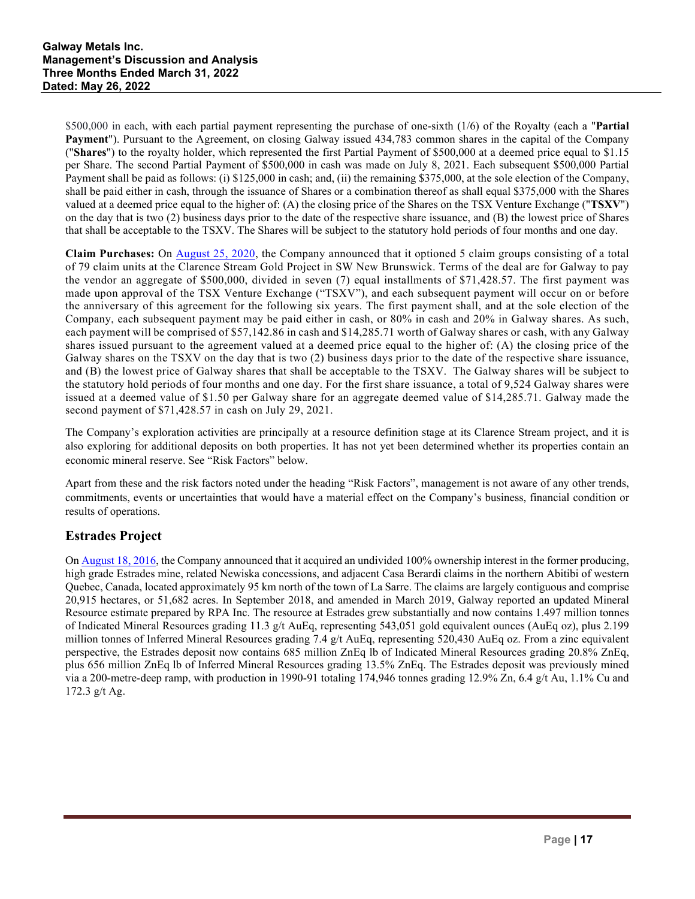\$500,000 in each, with each partial payment representing the purchase of one-sixth (1/6) of the Royalty (each a "**Partial Payment**"). Pursuant to the Agreement, on closing Galway issued 434,783 common shares in the capital of the Company ("**Shares**") to the royalty holder, which represented the first Partial Payment of \$500,000 at a deemed price equal to \$1.15 per Share. The second Partial Payment of \$500,000 in cash was made on July 8, 2021. Each subsequent \$500,000 Partial Payment shall be paid as follows: (i) \$125,000 in cash; and, (ii) the remaining \$375,000, at the sole election of the Company, shall be paid either in cash, through the issuance of Shares or a combination thereof as shall equal \$375,000 with the Shares valued at a deemed price equal to the higher of: (A) the closing price of the Shares on the TSX Venture Exchange ("**TSXV**") on the day that is two (2) business days prior to the date of the respective share issuance, and (B) the lowest price of Shares that shall be acceptable to the TSXV. The Shares will be subject to the statutory hold periods of four months and one day.

**Claim Purchases:** On [August 25, 2020,](https://galwaymetalsinc.com/2020/08/galway-metals-options-key-claims-with-5-2-g-t-au-over-2-5m-at-clarence-stream/) the Company announced that it optioned 5 claim groups consisting of a total of 79 claim units at the Clarence Stream Gold Project in SW New Brunswick. Terms of the deal are for Galway to pay the vendor an aggregate of \$500,000, divided in seven (7) equal installments of \$71,428.57. The first payment was made upon approval of the TSX Venture Exchange ("TSXV"), and each subsequent payment will occur on or before the anniversary of this agreement for the following six years. The first payment shall, and at the sole election of the Company, each subsequent payment may be paid either in cash, or 80% in cash and 20% in Galway shares. As such, each payment will be comprised of \$57,142.86 in cash and \$14,285.71 worth of Galway shares or cash, with any Galway shares issued pursuant to the agreement valued at a deemed price equal to the higher of: (A) the closing price of the Galway shares on the TSXV on the day that is two (2) business days prior to the date of the respective share issuance, and (B) the lowest price of Galway shares that shall be acceptable to the TSXV. The Galway shares will be subject to the statutory hold periods of four months and one day. For the first share issuance, a total of 9,524 Galway shares were issued at a deemed value of \$1.50 per Galway share for an aggregate deemed value of \$14,285.71. Galway made the second payment of \$71,428.57 in cash on July 29, 2021.

The Company's exploration activities are principally at a resource definition stage at its Clarence Stream project, and it is also exploring for additional deposits on both properties. It has not yet been determined whether its properties contain an economic mineral reserve. See "Risk Factors" below.

Apart from these and the risk factors noted under the heading "Risk Factors", management is not aware of any other trends, commitments, events or uncertainties that would have a material effect on the Company's business, financial condition or results of operations.

# **Estrades Project**

On [August 18, 2016,](http://galwaymetalsinc.com/s/NewsReleases.asp?ReportID=760740&_Type=News-Releases&_Title=Galway-Metals-Consolidates-the-Estrades-Mining-District-Provides-an-Updated...) the Company announced that it acquired an undivided 100% ownership interest in the former producing, high grade Estrades mine, related Newiska concessions, and adjacent Casa Berardi claims in the northern Abitibi of western Quebec, Canada, located approximately 95 km north of the town of La Sarre. The claims are largely contiguous and comprise 20,915 hectares, or 51,682 acres. In September 2018, and amended in March 2019, Galway reported an updated Mineral Resource estimate prepared by RPA Inc. The resource at Estrades grew substantially and now contains 1.497 million tonnes of Indicated Mineral Resources grading 11.3 g/t AuEq, representing 543,051 gold equivalent ounces (AuEq oz), plus 2.199 million tonnes of Inferred Mineral Resources grading 7.4 g/t AuEq, representing 520,430 AuEq oz. From a zinc equivalent perspective, the Estrades deposit now contains 685 million ZnEq lb of Indicated Mineral Resources grading 20.8% ZnEq, plus 656 million ZnEq lb of Inferred Mineral Resources grading 13.5% ZnEq. The Estrades deposit was previously mined via a 200-metre-deep ramp, with production in 1990-91 totaling 174,946 tonnes grading 12.9% Zn, 6.4 g/t Au, 1.1% Cu and 172.3 g/t Ag.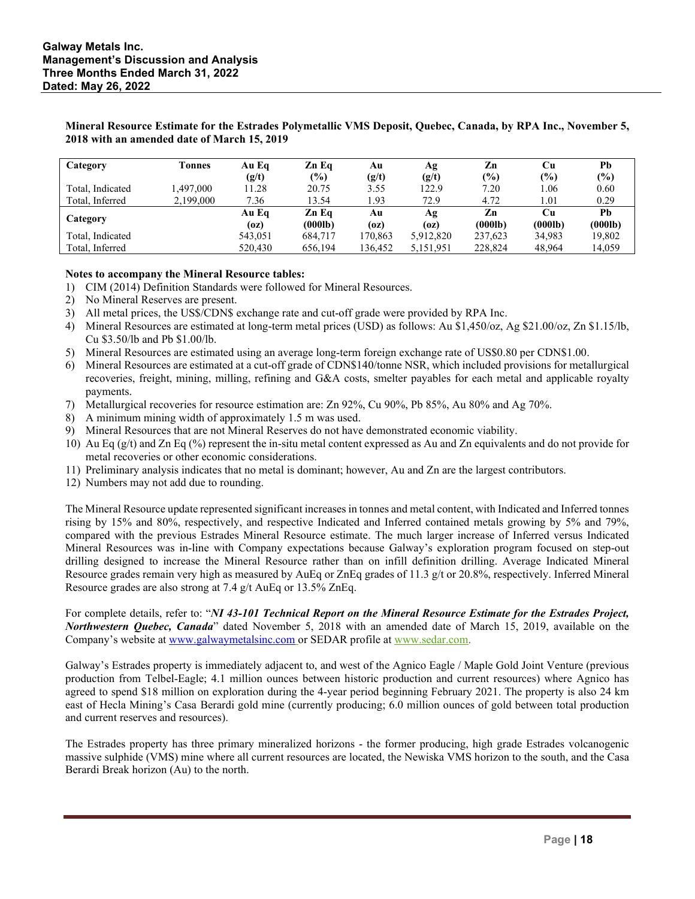| Category         | Tonnes    | Au Eg   | Zn Eq         | Au      | Ag        | Zn      | Cu      | Pb      |
|------------------|-----------|---------|---------------|---------|-----------|---------|---------|---------|
|                  |           | (g/t)   | $\frac{6}{6}$ | (g/t)   | (g/t)     | (%)     | $(\%)$  | (%)     |
| Total, Indicated | ,497,000  | 11.28   | 20.75         | 3.55    | 122.9     | 7.20    | 1.06    | 0.60    |
| Total, Inferred  | 2,199,000 | 7.36    | 13.54         | .93     | 72.9      | 4.72    | 1.01    | 0.29    |
|                  |           | Au Eq   | Zn Eq         | Αu      | Ag        | Zn      | Cu      | Ph      |
| Category         |           | (oz)    | (000lb)       | (oz)    | (oz)      | (000lb) | (000lb) | (000lb) |
| Total, Indicated |           | 543,051 | 684,717       | 170,863 | 5,912,820 | 237.623 | 34.983  | 19,802  |
| Total, Inferred  |           | 520,430 | 656.194       | 136,452 | 5,151,951 | 228,824 | 48.964  | 14,059  |

**Mineral Resource Estimate for the Estrades Polymetallic VMS Deposit, Quebec, Canada, by RPA Inc., November 5, 2018 with an amended date of March 15, 2019**

#### **Notes to accompany the Mineral Resource tables:**

- 1) CIM (2014) Definition Standards were followed for Mineral Resources.
- 2) No Mineral Reserves are present.
- 3) All metal prices, the US\$/CDN\$ exchange rate and cut-off grade were provided by RPA Inc.
- 4) Mineral Resources are estimated at long-term metal prices (USD) as follows: Au \$1,450/oz, Ag \$21.00/oz, Zn \$1.15/lb, Cu \$3.50/lb and Pb \$1.00/lb.
- 5) Mineral Resources are estimated using an average long-term foreign exchange rate of US\$0.80 per CDN\$1.00.
- 6) Mineral Resources are estimated at a cut-off grade of CDN\$140/tonne NSR, which included provisions for metallurgical recoveries, freight, mining, milling, refining and G&A costs, smelter payables for each metal and applicable royalty payments.
- 7) Metallurgical recoveries for resource estimation are: Zn 92%, Cu 90%, Pb 85%, Au 80% and Ag 70%.
- 8) A minimum mining width of approximately 1.5 m was used.
- 9) Mineral Resources that are not Mineral Reserves do not have demonstrated economic viability.
- 10) Au Eq (g/t) and Zn Eq (%) represent the in-situ metal content expressed as Au and Zn equivalents and do not provide for metal recoveries or other economic considerations.
- 11) Preliminary analysis indicates that no metal is dominant; however, Au and Zn are the largest contributors.
- 12) Numbers may not add due to rounding.

The Mineral Resource update represented significant increases in tonnes and metal content, with Indicated and Inferred tonnes rising by 15% and 80%, respectively, and respective Indicated and Inferred contained metals growing by 5% and 79%, compared with the previous Estrades Mineral Resource estimate. The much larger increase of Inferred versus Indicated Mineral Resources was in-line with Company expectations because Galway's exploration program focused on step-out drilling designed to increase the Mineral Resource rather than on infill definition drilling. Average Indicated Mineral Resource grades remain very high as measured by AuEq or ZnEq grades of 11.3 g/t or 20.8%, respectively. Inferred Mineral Resource grades are also strong at 7.4 g/t AuEq or 13.5% ZnEq.

For complete details, refer to: "*NI 43-101 Technical Report on the Mineral Resource Estimate for the Estrades Project, Northwestern Quebec, Canada*" dated November 5, 2018 with an amended date of March 15, 2019, available on the Company's website at [www.galwaymetalsinc.com](http://www.galwaymetalsinc.com/) or SEDAR profile at [www.sedar.com.](http://www.sedar.com/)

Galway's Estrades property is immediately adjacent to, and west of the Agnico Eagle / Maple Gold Joint Venture (previous production from Telbel-Eagle; 4.1 million ounces between historic production and current resources) where Agnico has agreed to spend \$18 million on exploration during the 4-year period beginning February 2021. The property is also 24 km east of Hecla Mining's Casa Berardi gold mine (currently producing; 6.0 million ounces of gold between total production and current reserves and resources).

The Estrades property has three primary mineralized horizons - the former producing, high grade Estrades volcanogenic massive sulphide (VMS) mine where all current resources are located, the Newiska VMS horizon to the south, and the Casa Berardi Break horizon (Au) to the north.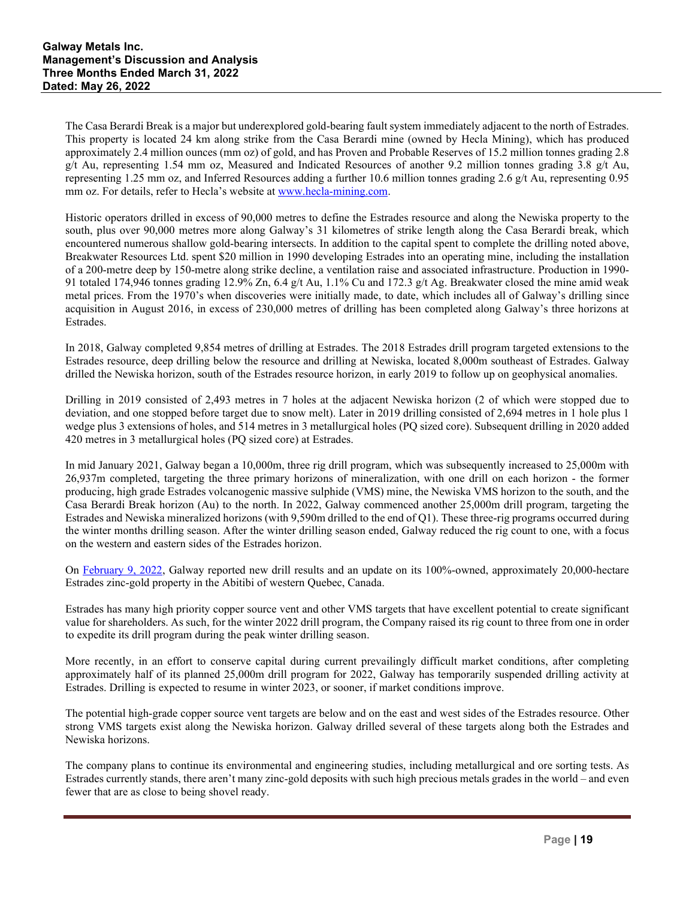The Casa Berardi Break is a major but underexplored gold-bearing fault system immediately adjacent to the north of Estrades. This property is located 24 km along strike from the Casa Berardi mine (owned by Hecla Mining), which has produced approximately 2.4 million ounces (mm oz) of gold, and has Proven and Probable Reserves of 15.2 million tonnes grading 2.8 g/t Au, representing 1.54 mm oz, Measured and Indicated Resources of another 9.2 million tonnes grading 3.8 g/t Au, representing 1.25 mm oz, and Inferred Resources adding a further 10.6 million tonnes grading 2.6 g/t Au, representing 0.95 mm oz. For details, refer to Hecla's website at [www.hecla-mining.com.](http://www.hecla-mining.com/)

Historic operators drilled in excess of 90,000 metres to define the Estrades resource and along the Newiska property to the south, plus over 90,000 metres more along Galway's 31 kilometres of strike length along the Casa Berardi break, which encountered numerous shallow gold-bearing intersects. In addition to the capital spent to complete the drilling noted above, Breakwater Resources Ltd. spent \$20 million in 1990 developing Estrades into an operating mine, including the installation of a 200-metre deep by 150-metre along strike decline, a ventilation raise and associated infrastructure. Production in 1990- 91 totaled 174,946 tonnes grading 12.9% Zn, 6.4 g/t Au, 1.1% Cu and 172.3 g/t Ag. Breakwater closed the mine amid weak metal prices. From the 1970's when discoveries were initially made, to date, which includes all of Galway's drilling since acquisition in August 2016, in excess of 230,000 metres of drilling has been completed along Galway's three horizons at Estrades.

In 2018, Galway completed 9,854 metres of drilling at Estrades. The 2018 Estrades drill program targeted extensions to the Estrades resource, deep drilling below the resource and drilling at Newiska, located 8,000m southeast of Estrades. Galway drilled the Newiska horizon, south of the Estrades resource horizon, in early 2019 to follow up on geophysical anomalies.

Drilling in 2019 consisted of 2,493 metres in 7 holes at the adjacent Newiska horizon (2 of which were stopped due to deviation, and one stopped before target due to snow melt). Later in 2019 drilling consisted of 2,694 metres in 1 hole plus 1 wedge plus 3 extensions of holes, and 514 metres in 3 metallurgical holes (PQ sized core). Subsequent drilling in 2020 added 420 metres in 3 metallurgical holes (PQ sized core) at Estrades.

In mid January 2021, Galway began a 10,000m, three rig drill program, which was subsequently increased to 25,000m with 26,937m completed, targeting the three primary horizons of mineralization, with one drill on each horizon - the former producing, high grade Estrades volcanogenic massive sulphide (VMS) mine, the Newiska VMS horizon to the south, and the Casa Berardi Break horizon (Au) to the north. In 2022, Galway commenced another 25,000m drill program, targeting the Estrades and Newiska mineralized horizons (with 9,590m drilled to the end of Q1). These three-rig programs occurred during the winter months drilling season. After the winter drilling season ended, Galway reduced the rig count to one, with a focus on the western and eastern sides of the Estrades horizon.

On [February 9, 2022,](https://galwaymetalsinc.com/2022/02/galway-metals-extensive-2022-programs-being-undertaken-at-the-former-producing-high-grade-estrades-project-in-the-abitibi-of-western-quebec/) Galway reported new drill results and an update on its 100%-owned, approximately 20,000-hectare Estrades zinc-gold property in the Abitibi of western Quebec, Canada.

Estrades has many high priority copper source vent and other VMS targets that have excellent potential to create significant value for shareholders. As such, for the winter 2022 drill program, the Company raised its rig count to three from one in order to expedite its drill program during the peak winter drilling season.

More recently, in an effort to conserve capital during current prevailingly difficult market conditions, after completing approximately half of its planned 25,000m drill program for 2022, Galway has temporarily suspended drilling activity at Estrades. Drilling is expected to resume in winter 2023, or sooner, if market conditions improve.

The potential high-grade copper source vent targets are below and on the east and west sides of the Estrades resource. Other strong VMS targets exist along the Newiska horizon. Galway drilled several of these targets along both the Estrades and Newiska horizons.

The company plans to continue its environmental and engineering studies, including metallurgical and ore sorting tests. As Estrades currently stands, there aren't many zinc-gold deposits with such high precious metals grades in the world – and even fewer that are as close to being shovel ready.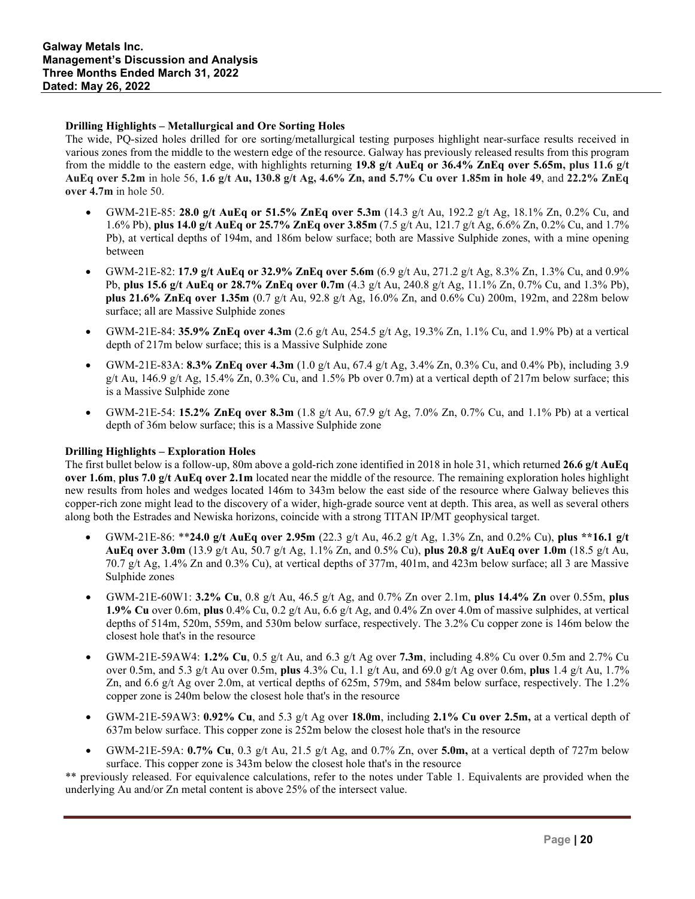### **Drilling Highlights – Metallurgical and Ore Sorting Holes**

The wide, PQ-sized holes drilled for ore sorting/metallurgical testing purposes highlight near-surface results received in various zones from the middle to the western edge of the resource. Galway has previously released results from this program from the middle to the eastern edge, with highlights returning **19.8 g/t AuEq or 36.4% ZnEq over 5.65m, plus 11.6 g/t AuEq over 5.2m** in hole 56, **1.6 g/t Au, 130.8 g/t Ag, 4.6% Zn, and 5.7% Cu over 1.85m in hole 49**, and **22.2% ZnEq over 4.7m** in hole 50.

- GWM-21E-85: **28.0 g/t AuEq or 51.5% ZnEq over 5.3m** (14.3 g/t Au, 192.2 g/t Ag, 18.1% Zn, 0.2% Cu, and 1.6% Pb), **plus 14.0 g/t AuEq or 25.7% ZnEq over 3.85m** (7.5 g/t Au, 121.7 g/t Ag, 6.6% Zn, 0.2% Cu, and 1.7% Pb), at vertical depths of 194m, and 186m below surface; both are Massive Sulphide zones, with a mine opening between
- GWM-21E-82: **17.9 g/t AuEq or 32.9% ZnEq over 5.6m** (6.9 g/t Au, 271.2 g/t Ag, 8.3% Zn, 1.3% Cu, and 0.9% Pb, **plus 15.6 g/t AuEq or 28.7% ZnEq over 0.7m** (4.3 g/t Au, 240.8 g/t Ag, 11.1% Zn, 0.7% Cu, and 1.3% Pb), **plus 21.6% ZnEq over 1.35m** (0.7 g/t Au, 92.8 g/t Ag, 16.0% Zn, and 0.6% Cu) 200m, 192m, and 228m below surface; all are Massive Sulphide zones
- GWM-21E-84: **35.9% ZnEq over 4.3m** (2.6 g/t Au, 254.5 g/t Ag, 19.3% Zn, 1.1% Cu, and 1.9% Pb) at a vertical depth of 217m below surface; this is a Massive Sulphide zone
- GWM-21E-83A: **8.3% ZnEq over 4.3m** (1.0 g/t Au, 67.4 g/t Ag, 3.4% Zn, 0.3% Cu, and 0.4% Pb), including 3.9 g/t Au, 146.9 g/t Ag, 15.4% Zn, 0.3% Cu, and 1.5% Pb over 0.7m) at a vertical depth of  $217$ m below surface; this is a Massive Sulphide zone
- GWM-21E-54: **15.2% ZnEq over 8.3m** (1.8 g/t Au, 67.9 g/t Ag, 7.0% Zn, 0.7% Cu, and 1.1% Pb) at a vertical depth of 36m below surface; this is a Massive Sulphide zone

### **Drilling Highlights – Exploration Holes**

The first bullet below is a follow-up, 80m above a gold-rich zone identified in 2018 in hole 31, which returned **26.6 g/t AuEq over 1.6m**, **plus 7.0 g/t AuEq over 2.1m** located near the middle of the resource. The remaining exploration holes highlight new results from holes and wedges located 146m to 343m below the east side of the resource where Galway believes this copper-rich zone might lead to the discovery of a wider, high-grade source vent at depth. This area, as well as several others along both the Estrades and Newiska horizons, coincide with a strong TITAN IP/MT geophysical target.

- GWM-21E-86: \*\***24.0 g/t AuEq over 2.95m** (22.3 g/t Au, 46.2 g/t Ag, 1.3% Zn, and 0.2% Cu), **plus \*\*16.1 g/t AuEq over 3.0m** (13.9 g/t Au, 50.7 g/t Ag, 1.1% Zn, and 0.5% Cu), **plus 20.8 g/t AuEq over 1.0m** (18.5 g/t Au, 70.7 g/t Ag, 1.4% Zn and 0.3% Cu), at vertical depths of 377m, 401m, and 423m below surface; all 3 are Massive Sulphide zones
- GWM-21E-60W1: **3.2% Cu**, 0.8 g/t Au, 46.5 g/t Ag, and 0.7% Zn over 2.1m, **plus 14.4% Zn** over 0.55m, **plus 1.9% Cu** over 0.6m, **plus** 0.4% Cu, 0.2 g/t Au, 6.6 g/t Ag, and 0.4% Zn over 4.0m of massive sulphides, at vertical depths of 514m, 520m, 559m, and 530m below surface, respectively. The 3.2% Cu copper zone is 146m below the closest hole that's in the resource
- GWM-21E-59AW4: **1.2% Cu**, 0.5 g/t Au, and 6.3 g/t Ag over **7.3m**, including 4.8% Cu over 0.5m and 2.7% Cu over 0.5m, and 5.3 g/t Au over 0.5m, **plus** 4.3% Cu, 1.1 g/t Au, and 69.0 g/t Ag over 0.6m, **plus** 1.4 g/t Au, 1.7% Zn, and 6.6 g/t Ag over 2.0m, at vertical depths of 625m, 579m, and 584m below surface, respectively. The 1.2% copper zone is 240m below the closest hole that's in the resource
- GWM-21E-59AW3: **0.92% Cu**, and 5.3 g/t Ag over **18.0m**, including **2.1% Cu over 2.5m,** at a vertical depth of 637m below surface. This copper zone is 252m below the closest hole that's in the resource
- GWM-21E-59A:  $0.7\%$  Cu, 0.3 g/t Au, 21.5 g/t Ag, and 0.7% Zn, over 5.0m, at a vertical depth of 727m below surface. This copper zone is 343m below the closest hole that's in the resource

\*\* previously released. For equivalence calculations, refer to the notes under Table 1. Equivalents are provided when the underlying Au and/or Zn metal content is above 25% of the intersect value.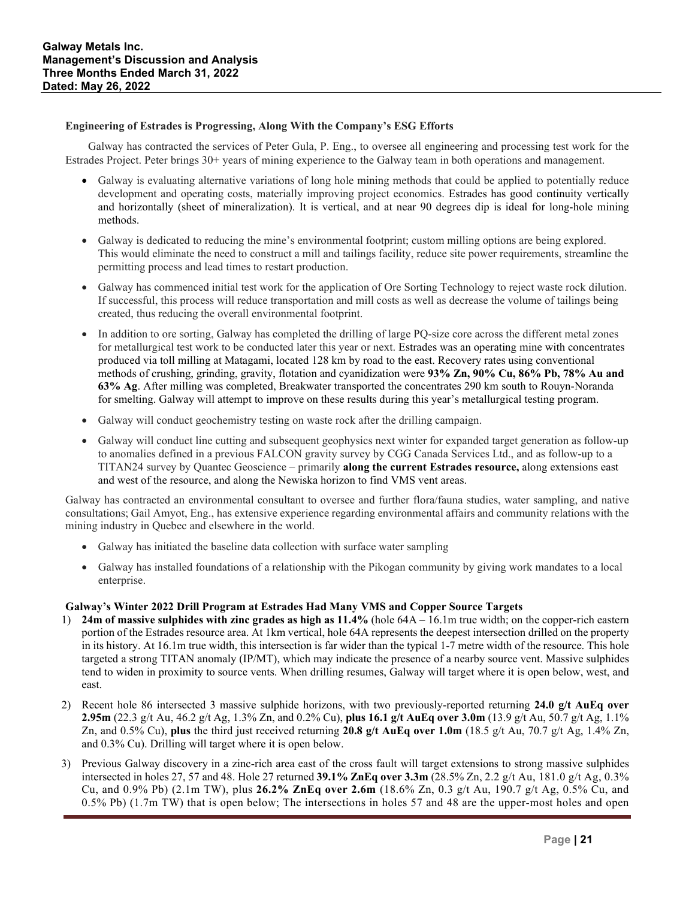### **Engineering of Estrades is Progressing, Along With the Company's ESG Efforts**

Galway has contracted the services of Peter Gula, P. Eng., to oversee all engineering and processing test work for the Estrades Project. Peter brings 30+ years of mining experience to the Galway team in both operations and management.

- Galway is evaluating alternative variations of long hole mining methods that could be applied to potentially reduce development and operating costs, materially improving project economics. Estrades has good continuity vertically and horizontally (sheet of mineralization). It is vertical, and at near 90 degrees dip is ideal for long-hole mining methods.
- Galway is dedicated to reducing the mine's environmental footprint; custom milling options are being explored. This would eliminate the need to construct a mill and tailings facility, reduce site power requirements, streamline the permitting process and lead times to restart production.
- Galway has commenced initial test work for the application of Ore Sorting Technology to reject waste rock dilution. If successful, this process will reduce transportation and mill costs as well as decrease the volume of tailings being created, thus reducing the overall environmental footprint.
- In addition to ore sorting, Galway has completed the drilling of large PQ-size core across the different metal zones for metallurgical test work to be conducted later this year or next. Estrades was an operating mine with concentrates produced via toll milling at Matagami, located 128 km by road to the east. Recovery rates using conventional methods of crushing, grinding, gravity, flotation and cyanidization were **93% Zn, 90% Cu, 86% Pb, 78% Au and 63% Ag**. After milling was completed, Breakwater transported the concentrates 290 km south to Rouyn-Noranda for smelting. Galway will attempt to improve on these results during this year's metallurgical testing program.
- Galway will conduct geochemistry testing on waste rock after the drilling campaign.
- Galway will conduct line cutting and subsequent geophysics next winter for expanded target generation as follow-up to anomalies defined in a previous FALCON gravity survey by CGG Canada Services Ltd., and as follow-up to a TITAN24 survey by Quantec Geoscience – primarily **along the current Estrades resource,** along extensions east and west of the resource, and along the Newiska horizon to find VMS vent areas.

Galway has contracted an environmental consultant to oversee and further flora/fauna studies, water sampling, and native consultations; Gail Amyot, Eng., has extensive experience regarding environmental affairs and community relations with the mining industry in Quebec and elsewhere in the world.

- Galway has initiated the baseline data collection with surface water sampling
- Galway has installed foundations of a relationship with the Pikogan community by giving work mandates to a local enterprise.

### **Galway's Winter 2022 Drill Program at Estrades Had Many VMS and Copper Source Targets**

- 1) **24m of massive sulphides with zinc grades as high as 11.4%** (hole 64A 16.1m true width; on the copper-rich eastern portion of the Estrades resource area. At 1km vertical, hole 64A represents the deepest intersection drilled on the property in its history. At 16.1m true width, this intersection is far wider than the typical 1-7 metre width of the resource. This hole targeted a strong TITAN anomaly (IP/MT), which may indicate the presence of a nearby source vent. Massive sulphides tend to widen in proximity to source vents. When drilling resumes, Galway will target where it is open below, west, and east.
- 2) Recent hole 86 intersected 3 massive sulphide horizons, with two previously-reported returning **24.0 g/t AuEq over 2.95m** (22.3 g/t Au, 46.2 g/t Ag, 1.3% Zn, and 0.2% Cu), **plus 16.1 g/t AuEq over 3.0m** (13.9 g/t Au, 50.7 g/t Ag, 1.1% Zn, and 0.5% Cu), **plus** the third just received returning **20.8 g/t AuEq over 1.0m** (18.5 g/t Au, 70.7 g/t Ag, 1.4% Zn, and 0.3% Cu). Drilling will target where it is open below.
- 3) Previous Galway discovery in a zinc-rich area east of the cross fault will target extensions to strong massive sulphides intersected in holes 27, 57 and 48. Hole 27 returned **39.1% ZnEq over 3.3m** (28.5% Zn, 2.2 g/t Au, 181.0 g/t Ag, 0.3% Cu, and 0.9% Pb) (2.1m TW), plus **26.2% ZnEq over 2.6m** (18.6% Zn, 0.3 g/t Au, 190.7 g/t Ag, 0.5% Cu, and 0.5% Pb) (1.7m TW) that is open below; The intersections in holes 57 and 48 are the upper-most holes and open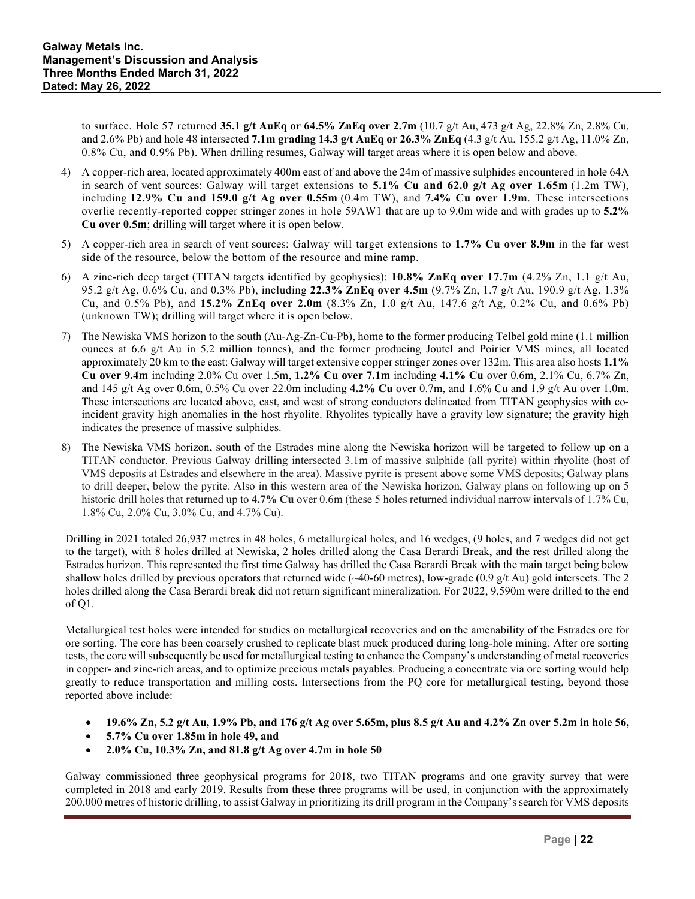to surface. Hole 57 returned **35.1 g/t AuEq or 64.5% ZnEq over 2.7m** (10.7 g/t Au, 473 g/t Ag, 22.8% Zn, 2.8% Cu, and 2.6% Pb) and hole 48 intersected **7.1m grading 14.3 g/t AuEq or 26.3% ZnEq** (4.3 g/t Au, 155.2 g/t Ag, 11.0% Zn, 0.8% Cu, and 0.9% Pb). When drilling resumes, Galway will target areas where it is open below and above.

- 4) A copper-rich area, located approximately 400m east of and above the 24m of massive sulphides encountered in hole 64A in search of vent sources: Galway will target extensions to **5.1% Cu and 62.0 g/t Ag over 1.65m** (1.2m TW), including **12.9% Cu and 159.0 g/t Ag over 0.55m** (0.4m TW), and **7.4% Cu over 1.9m**. These intersections overlie recently-reported copper stringer zones in hole 59AW1 that are up to 9.0m wide and with grades up to **5.2% Cu over 0.5m**; drilling will target where it is open below.
- 5) A copper-rich area in search of vent sources: Galway will target extensions to **1.7% Cu over 8.9m** in the far west side of the resource, below the bottom of the resource and mine ramp.
- 6) A zinc-rich deep target (TITAN targets identified by geophysics): **10.8% ZnEq over 17.7m** (4.2% Zn, 1.1 g/t Au, 95.2 g/t Ag, 0.6% Cu, and 0.3% Pb), including **22.3% ZnEq over 4.5m** (9.7% Zn, 1.7 g/t Au, 190.9 g/t Ag, 1.3% Cu, and 0.5% Pb), and **15.2% ZnEq over 2.0m** (8.3% Zn, 1.0 g/t Au, 147.6 g/t Ag, 0.2% Cu, and 0.6% Pb) (unknown TW); drilling will target where it is open below.
- 7) The Newiska VMS horizon to the south (Au-Ag-Zn-Cu-Pb), home to the former producing Telbel gold mine (1.1 million ounces at 6.6 g/t Au in 5.2 million tonnes), and the former producing Joutel and Poirier VMS mines, all located approximately 20 km to the east: Galway will target extensive copper stringer zones over 132m. This area also hosts **1.1% Cu over 9.4m** including 2.0% Cu over 1.5m, **1.2% Cu over 7.1m** including **4.1% Cu** over 0.6m, 2.1% Cu, 6.7% Zn, and 145 g/t Ag over 0.6m, 0.5% Cu over 22.0m including **4.2% Cu** over 0.7m, and 1.6% Cu and 1.9 g/t Au over 1.0m. These intersections are located above, east, and west of strong conductors delineated from TITAN geophysics with coincident gravity high anomalies in the host rhyolite. Rhyolites typically have a gravity low signature; the gravity high indicates the presence of massive sulphides.
- 8) The Newiska VMS horizon, south of the Estrades mine along the Newiska horizon will be targeted to follow up on a TITAN conductor. Previous Galway drilling intersected 3.1m of massive sulphide (all pyrite) within rhyolite (host of VMS deposits at Estrades and elsewhere in the area). Massive pyrite is present above some VMS deposits; Galway plans to drill deeper, below the pyrite. Also in this western area of the Newiska horizon, Galway plans on following up on 5 historic drill holes that returned up to **4.7% Cu** over 0.6m (these 5 holes returned individual narrow intervals of 1.7% Cu, 1.8% Cu, 2.0% Cu, 3.0% Cu, and 4.7% Cu).

Drilling in 2021 totaled 26,937 metres in 48 holes, 6 metallurgical holes, and 16 wedges, (9 holes, and 7 wedges did not get to the target), with 8 holes drilled at Newiska, 2 holes drilled along the Casa Berardi Break, and the rest drilled along the Estrades horizon. This represented the first time Galway has drilled the Casa Berardi Break with the main target being below shallow holes drilled by previous operators that returned wide  $(\sim 40{\text -}60 \text{ metres})$ , low-grade  $(0.9 \text{ g/t} \text{ Au})$  gold intersects. The 2 holes drilled along the Casa Berardi break did not return significant mineralization. For 2022, 9,590m were drilled to the end of Q1.

Metallurgical test holes were intended for studies on metallurgical recoveries and on the amenability of the Estrades ore for ore sorting. The core has been coarsely crushed to replicate blast muck produced during long-hole mining. After ore sorting tests, the core will subsequently be used for metallurgical testing to enhance the Company's understanding of metal recoveries in copper- and zinc-rich areas, and to optimize precious metals payables. Producing a concentrate via ore sorting would help greatly to reduce transportation and milling costs. Intersections from the PQ core for metallurgical testing, beyond those reported above include:

- **19.6% Zn, 5.2 g/t Au, 1.9% Pb, and 176 g/t Ag over 5.65m, plus 8.5 g/t Au and 4.2% Zn over 5.2m in hole 56,**
- **5.7% Cu over 1.85m in hole 49, and**
- **2.0% Cu, 10.3% Zn, and 81.8 g/t Ag over 4.7m in hole 50**

Galway commissioned three geophysical programs for 2018, two TITAN programs and one gravity survey that were completed in 2018 and early 2019. Results from these three programs will be used, in conjunction with the approximately 200,000 metres of historic drilling, to assist Galway in prioritizing its drill program in the Company's search for VMS deposits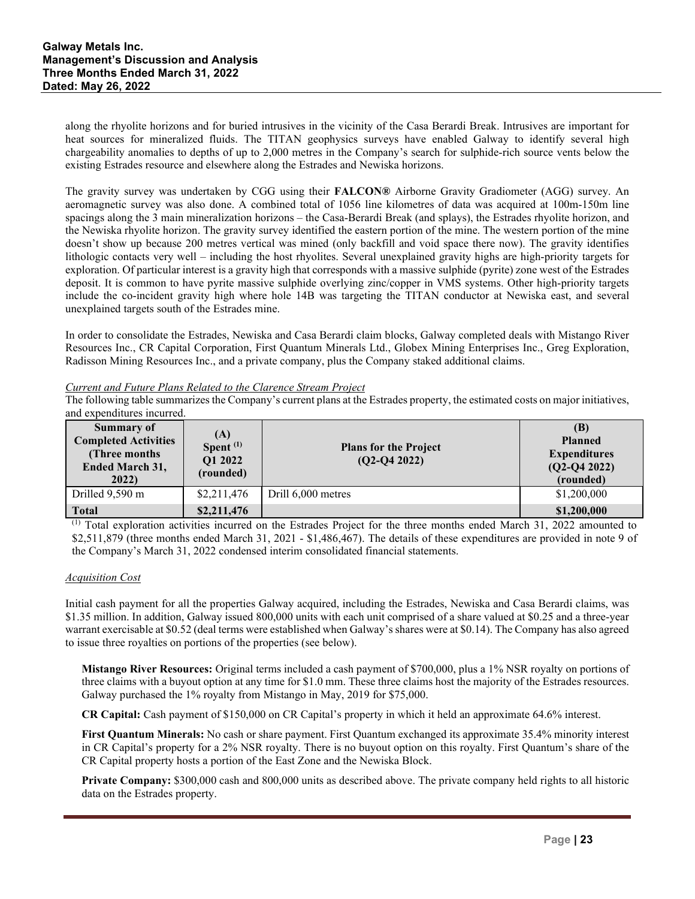along the rhyolite horizons and for buried intrusives in the vicinity of the Casa Berardi Break. Intrusives are important for heat sources for mineralized fluids. The TITAN geophysics surveys have enabled Galway to identify several high chargeability anomalies to depths of up to 2,000 metres in the Company's search for sulphide-rich source vents below the existing Estrades resource and elsewhere along the Estrades and Newiska horizons.

The gravity survey was undertaken by CGG using their **FALCON®** Airborne Gravity Gradiometer (AGG) survey. An aeromagnetic survey was also done. A combined total of 1056 line kilometres of data was acquired at 100m-150m line spacings along the 3 main mineralization horizons – the Casa-Berardi Break (and splays), the Estrades rhyolite horizon, and the Newiska rhyolite horizon. The gravity survey identified the eastern portion of the mine. The western portion of the mine doesn't show up because 200 metres vertical was mined (only backfill and void space there now). The gravity identifies lithologic contacts very well – including the host rhyolites. Several unexplained gravity highs are high-priority targets for exploration. Of particular interest is a gravity high that corresponds with a massive sulphide (pyrite) zone west of the Estrades deposit. It is common to have pyrite massive sulphide overlying zinc/copper in VMS systems. Other high-priority targets include the co-incident gravity high where hole 14B was targeting the TITAN conductor at Newiska east, and several unexplained targets south of the Estrades mine.

In order to consolidate the Estrades, Newiska and Casa Berardi claim blocks, Galway completed deals with Mistango River Resources Inc., CR Capital Corporation, First Quantum Minerals Ltd., Globex Mining Enterprises Inc., Greg Exploration, Radisson Mining Resources Inc., and a private company, plus the Company staked additional claims.

### *Current and Future Plans Related to the Clarence Stream Project*

The following table summarizes the Company's current plans at the Estrades property, the estimated costs on major initiatives, and expenditures incurred.

| <b>Summary of</b><br><b>Completed Activities</b><br>(Three months)<br><b>Ended March 31,</b><br>2022 | (A)<br>Spent $(1)$<br>Q1 2022<br>(rounded) | <b>Plans for the Project</b><br>$(Q2-Q4 2022)$ | (B)<br><b>Planned</b><br><b>Expenditures</b><br>$(Q2-Q4 2022)$<br>(rounded) |
|------------------------------------------------------------------------------------------------------|--------------------------------------------|------------------------------------------------|-----------------------------------------------------------------------------|
| Drilled 9,590 m                                                                                      | \$2,211,476                                | Drill 6,000 metres                             | \$1,200,000                                                                 |
| <b>Total</b>                                                                                         | \$2,211,476                                |                                                | \$1,200,000                                                                 |

 $<sup>(1)</sup>$  Total exploration activities incurred on the Estrades Project for the three months ended March 31, 2022 amounted to</sup> \$2,511,879 (three months ended March 31, 2021 - \$1,486,467). The details of these expenditures are provided in note 9 of the Company's March 31, 2022 condensed interim consolidated financial statements.

### *Acquisition Cost*

Initial cash payment for all the properties Galway acquired, including the Estrades, Newiska and Casa Berardi claims, was \$1.35 million. In addition, Galway issued 800,000 units with each unit comprised of a share valued at \$0.25 and a three-year warrant exercisable at \$0.52 (deal terms were established when Galway's shares were at \$0.14). The Company has also agreed to issue three royalties on portions of the properties (see below).

**Mistango River Resources:** Original terms included a cash payment of \$700,000, plus a 1% NSR royalty on portions of three claims with a buyout option at any time for \$1.0 mm. These three claims host the majority of the Estrades resources. Galway purchased the 1% royalty from Mistango in May, 2019 for \$75,000.

**CR Capital:** Cash payment of \$150,000 on CR Capital's property in which it held an approximate 64.6% interest.

**First Quantum Minerals:** No cash or share payment. First Quantum exchanged its approximate 35.4% minority interest in CR Capital's property for a 2% NSR royalty. There is no buyout option on this royalty. First Quantum's share of the CR Capital property hosts a portion of the East Zone and the Newiska Block.

**Private Company:** \$300,000 cash and 800,000 units as described above. The private company held rights to all historic data on the Estrades property.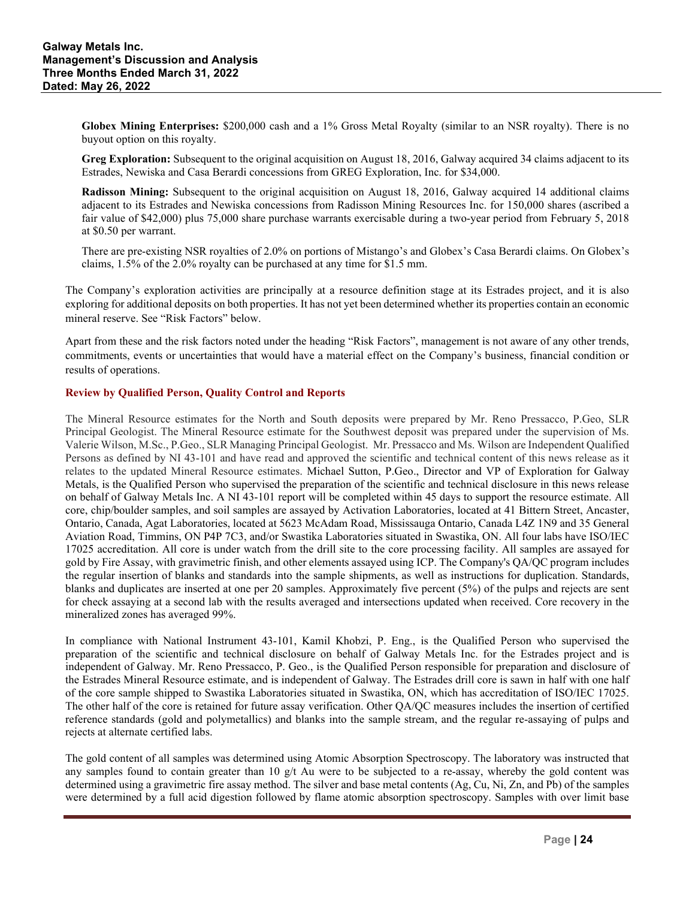**Globex Mining Enterprises:** \$200,000 cash and a 1% Gross Metal Royalty (similar to an NSR royalty). There is no buyout option on this royalty.

**Greg Exploration:** Subsequent to the original acquisition on August 18, 2016, Galway acquired 34 claims adjacent to its Estrades, Newiska and Casa Berardi concessions from GREG Exploration, Inc. for \$34,000.

**Radisson Mining:** Subsequent to the original acquisition on August 18, 2016, Galway acquired 14 additional claims adjacent to its Estrades and Newiska concessions from Radisson Mining Resources Inc. for 150,000 shares (ascribed a fair value of \$42,000) plus 75,000 share purchase warrants exercisable during a two-year period from February 5, 2018 at \$0.50 per warrant.

There are pre-existing NSR royalties of 2.0% on portions of Mistango's and Globex's Casa Berardi claims. On Globex's claims, 1.5% of the 2.0% royalty can be purchased at any time for \$1.5 mm.

The Company's exploration activities are principally at a resource definition stage at its Estrades project, and it is also exploring for additional deposits on both properties. It has not yet been determined whether its properties contain an economic mineral reserve. See "Risk Factors" below.

Apart from these and the risk factors noted under the heading "Risk Factors", management is not aware of any other trends, commitments, events or uncertainties that would have a material effect on the Company's business, financial condition or results of operations.

### **Review by Qualified Person, Quality Control and Reports**

The Mineral Resource estimates for the North and South deposits were prepared by Mr. Reno Pressacco, P.Geo, SLR Principal Geologist. The Mineral Resource estimate for the Southwest deposit was prepared under the supervision of Ms. Valerie Wilson, M.Sc., P.Geo., SLR Managing Principal Geologist. Mr. Pressacco and Ms. Wilson are Independent Qualified Persons as defined by NI 43-101 and have read and approved the scientific and technical content of this news release as it relates to the updated Mineral Resource estimates. Michael Sutton, P.Geo., Director and VP of Exploration for Galway Metals, is the Qualified Person who supervised the preparation of the scientific and technical disclosure in this news release on behalf of Galway Metals Inc. A NI 43-101 report will be completed within 45 days to support the resource estimate. All core, chip/boulder samples, and soil samples are assayed by Activation Laboratories, located at 41 Bittern Street, Ancaster, Ontario, Canada, Agat Laboratories, located at 5623 McAdam Road, Mississauga Ontario, Canada L4Z 1N9 and 35 General Aviation Road, Timmins, ON P4P 7C3, and/or Swastika Laboratories situated in Swastika, ON. All four labs have ISO/IEC 17025 accreditation. All core is under watch from the drill site to the core processing facility. All samples are assayed for gold by Fire Assay, with gravimetric finish, and other elements assayed using ICP. The Company's QA/QC program includes the regular insertion of blanks and standards into the sample shipments, as well as instructions for duplication. Standards, blanks and duplicates are inserted at one per 20 samples. Approximately five percent (5%) of the pulps and rejects are sent for check assaying at a second lab with the results averaged and intersections updated when received. Core recovery in the mineralized zones has averaged 99%.

In compliance with National Instrument 43-101, Kamil Khobzi, P. Eng., is the Qualified Person who supervised the preparation of the scientific and technical disclosure on behalf of Galway Metals Inc. for the Estrades project and is independent of Galway. Mr. Reno Pressacco, P. Geo., is the Qualified Person responsible for preparation and disclosure of the Estrades Mineral Resource estimate, and is independent of Galway. The Estrades drill core is sawn in half with one half of the core sample shipped to Swastika Laboratories situated in Swastika, ON, which has accreditation of ISO/IEC 17025. The other half of the core is retained for future assay verification. Other QA/QC measures includes the insertion of certified reference standards (gold and polymetallics) and blanks into the sample stream, and the regular re-assaying of pulps and rejects at alternate certified labs.

The gold content of all samples was determined using Atomic Absorption Spectroscopy. The laboratory was instructed that any samples found to contain greater than 10  $g/t$  Au were to be subjected to a re-assay, whereby the gold content was determined using a gravimetric fire assay method. The silver and base metal contents (Ag, Cu, Ni, Zn, and Pb) of the samples were determined by a full acid digestion followed by flame atomic absorption spectroscopy. Samples with over limit base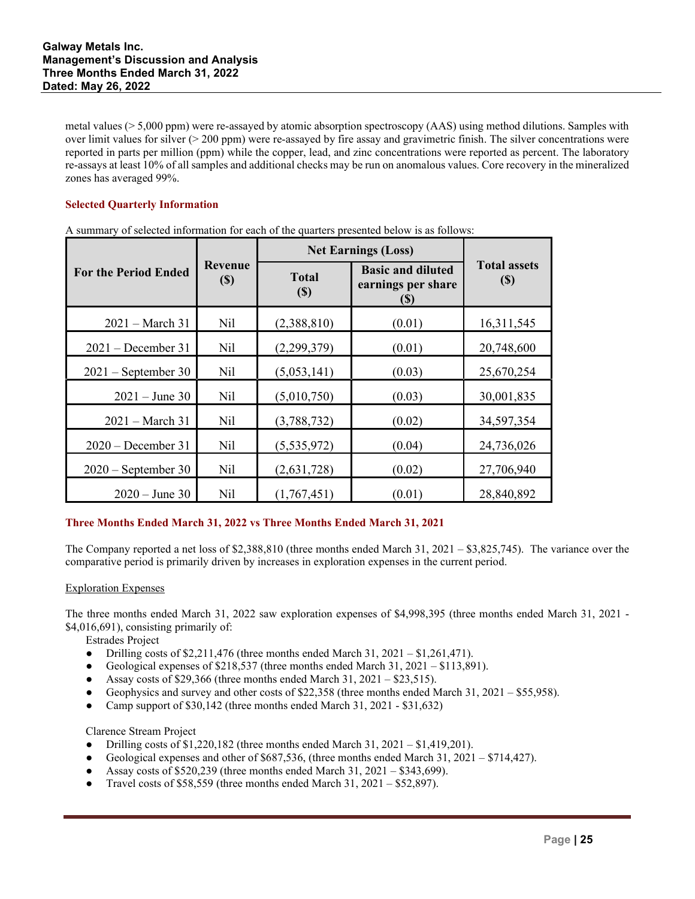metal values (> 5,000 ppm) were re-assayed by atomic absorption spectroscopy (AAS) using method dilutions. Samples with over limit values for silver  $(200 \text{ ppm})$  were re-assayed by fire assay and gravimetric finish. The silver concentrations were reported in parts per million (ppm) while the copper, lead, and zinc concentrations were reported as percent. The laboratory re-assays at least 10% of all samples and additional checks may be run on anomalous values. Core recovery in the mineralized zones has averaged 99%.

### **Selected Quarterly Information**

|                             |                                       | <b>Net Earnings (Loss)</b> |                                                        |                             |
|-----------------------------|---------------------------------------|----------------------------|--------------------------------------------------------|-----------------------------|
| <b>For the Period Ended</b> | Revenue<br>$\left( \mathbb{S}\right)$ | <b>Total</b><br>(S)        | <b>Basic and diluted</b><br>earnings per share<br>(\$) | <b>Total assets</b><br>(\$) |
| $2021 - March 31$           | Nil                                   | (2,388,810)                | (0.01)                                                 | 16,311,545                  |
| $2021 - December 31$        | Nil                                   | (2,299,379)                | (0.01)                                                 | 20,748,600                  |
| $2021$ – September 30       | Nil                                   | (5,053,141)                | (0.03)                                                 | 25,670,254                  |
| $2021 - June 30$            | Nil                                   | (5,010,750)                | (0.03)                                                 | 30,001,835                  |
| $2021 - March 31$           | Nil                                   | (3,788,732)                | (0.02)                                                 | 34,597,354                  |
| $2020 - December 31$        | Nil                                   | (5,535,972)                | (0.04)                                                 | 24,736,026                  |
| $2020$ – September 30       | Nil                                   | (2,631,728)                | (0.02)                                                 | 27,706,940                  |
| $2020 - June 30$            | Nil                                   | (1,767,451)                | (0.01)                                                 | 28,840,892                  |

A summary of selected information for each of the quarters presented below is as follows:

# **Three Months Ended March 31, 2022 vs Three Months Ended March 31, 2021**

The Company reported a net loss of  $$2,388,810$  (three months ended March 31, 2021 –  $$3,825,745$ ). The variance over the comparative period is primarily driven by increases in exploration expenses in the current period.

### Exploration Expenses

The three months ended March 31, 2022 saw exploration expenses of \$4,998,395 (three months ended March 31, 2021 - \$4,016,691), consisting primarily of:

Estrades Project

- Drilling costs of \$2,211,476 (three months ended March 31,  $2021 $1,261,471$ ).
- Geological expenses of \$218,537 (three months ended March 31, 2021 \$113,891).
- Assay costs of \$29,366 (three months ended March  $31, 2021 $23,515$ ).
- Geophysics and survey and other costs of  $$22,358$  (three months ended March 31, 2021 \$55,958).
- Camp support of \$30,142 (three months ended March 31, 2021 \$31,632)

Clarence Stream Project

- Drilling costs of  $$1,220,182$  (three months ended March 31,  $2021 $1,419,201$ ).
- Geological expenses and other of \$687,536, (three months ended March 31, 2021 \$714,427).
- Assay costs of  $$520,239$  (three months ended March 31, 2021 \$343,699).
- Travel costs of \$58,559 (three months ended March 31, 2021 \$52,897).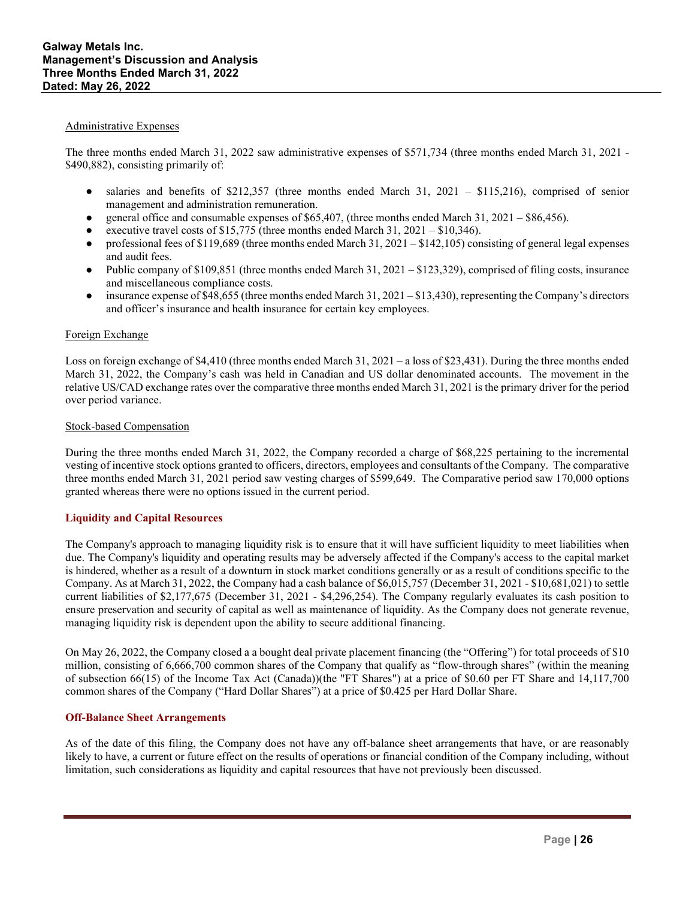#### Administrative Expenses

The three months ended March 31, 2022 saw administrative expenses of \$571,734 (three months ended March 31, 2021 - \$490,882), consisting primarily of:

- $\bullet$  salaries and benefits of \$212,357 (three months ended March 31, 2021 \$115,216), comprised of senior management and administration remuneration.
- general office and consumable expenses of \$65,407, (three months ended March 31, 2021 \$86,456).
- executive travel costs of \$15,775 (three months ended March  $31$ ,  $2021 $10,346$ ).
- professional fees of \$119,689 (three months ended March 31,  $2021 $142,105$ ) consisting of general legal expenses and audit fees.
- Public company of \$109,851 (three months ended March 31, 2021 \$123,329), comprised of filing costs, insurance and miscellaneous compliance costs.
- $\bullet$  insurance expense of \$48,655 (three months ended March 31, 2021 \$13,430), representing the Company's directors and officer's insurance and health insurance for certain key employees.

#### Foreign Exchange

Loss on foreign exchange of \$4,410 (three months ended March 31, 2021 – a loss of \$23,431). During the three months ended March 31, 2022, the Company's cash was held in Canadian and US dollar denominated accounts. The movement in the relative US/CAD exchange rates over the comparative three months ended March 31, 2021 is the primary driver for the period over period variance.

#### Stock-based Compensation

During the three months ended March 31, 2022, the Company recorded a charge of \$68,225 pertaining to the incremental vesting of incentive stock options granted to officers, directors, employees and consultants of the Company. The comparative three months ended March 31, 2021 period saw vesting charges of \$599,649. The Comparative period saw 170,000 options granted whereas there were no options issued in the current period.

### **Liquidity and Capital Resources**

The Company's approach to managing liquidity risk is to ensure that it will have sufficient liquidity to meet liabilities when due. The Company's liquidity and operating results may be adversely affected if the Company's access to the capital market is hindered, whether as a result of a downturn in stock market conditions generally or as a result of conditions specific to the Company. As at March 31, 2022, the Company had a cash balance of \$6,015,757 (December 31, 2021 - \$10,681,021) to settle current liabilities of \$2,177,675 (December 31, 2021 - \$4,296,254). The Company regularly evaluates its cash position to ensure preservation and security of capital as well as maintenance of liquidity. As the Company does not generate revenue, managing liquidity risk is dependent upon the ability to secure additional financing.

On May 26, 2022, the Company closed a a bought deal private placement financing (the "Offering") for total proceeds of \$10 million, consisting of 6,666,700 common shares of the Company that qualify as "flow-through shares" (within the meaning of subsection 66(15) of the Income Tax Act (Canada))(the "FT Shares") at a price of \$0.60 per FT Share and 14,117,700 common shares of the Company ("Hard Dollar Shares") at a price of \$0.425 per Hard Dollar Share.

### **Off-Balance Sheet Arrangements**

As of the date of this filing, the Company does not have any off-balance sheet arrangements that have, or are reasonably likely to have, a current or future effect on the results of operations or financial condition of the Company including, without limitation, such considerations as liquidity and capital resources that have not previously been discussed.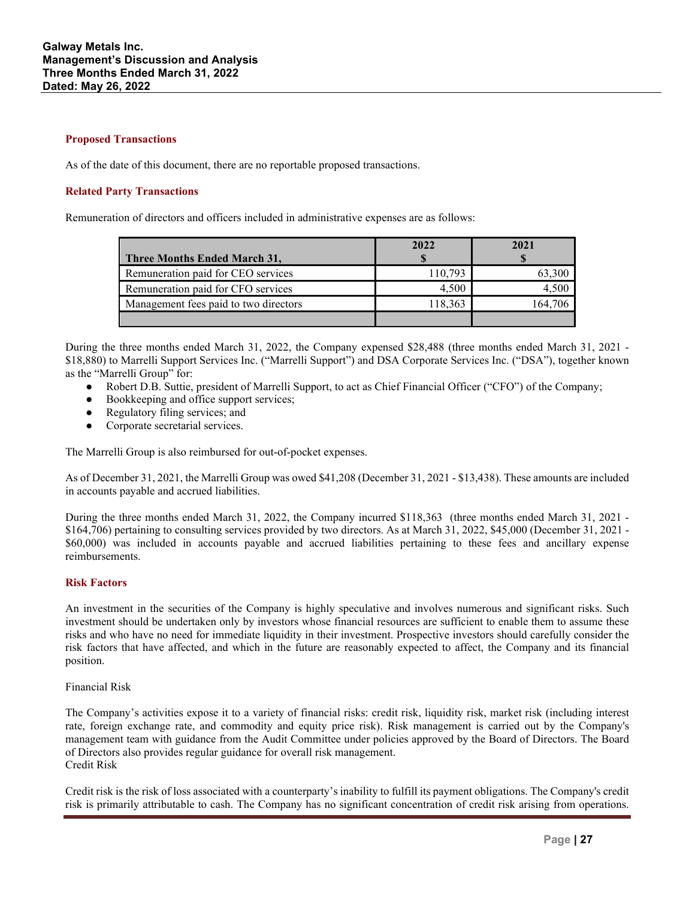### **Proposed Transactions**

As of the date of this document, there are no reportable proposed transactions.

### **Related Party Transactions**

Remuneration of directors and officers included in administrative expenses are as follows:

|                                       | 2022    | 2021    |
|---------------------------------------|---------|---------|
| Three Months Ended March 31,          |         |         |
| Remuneration paid for CEO services    | 110.793 | 63.300  |
| Remuneration paid for CFO services    | 4.500   | 4.500   |
| Management fees paid to two directors | 118,363 | 164.706 |
|                                       |         |         |

During the three months ended March 31, 2022, the Company expensed \$28,488 (three months ended March 31, 2021 - \$18,880) to Marrelli Support Services Inc. ("Marrelli Support") and DSA Corporate Services Inc. ("DSA"), together known as the "Marrelli Group" for:

- Robert D.B. Suttie, president of Marrelli Support, to act as Chief Financial Officer ("CFO") of the Company;
- Bookkeeping and office support services;
- Regulatory filing services; and
- Corporate secretarial services.

The Marrelli Group is also reimbursed for out-of-pocket expenses.

As of December 31, 2021, the Marrelli Group was owed \$41,208 (December 31, 2021 - \$13,438). These amounts are included in accounts payable and accrued liabilities.

During the three months ended March 31, 2022, the Company incurred \$118,363 (three months ended March 31, 2021 - \$164,706) pertaining to consulting services provided by two directors. As at March 31, 2022, \$45,000 (December 31, 2021 - \$60,000) was included in accounts payable and accrued liabilities pertaining to these fees and ancillary expense reimbursements.

#### **Risk Factors**

An investment in the securities of the Company is highly speculative and involves numerous and significant risks. Such investment should be undertaken only by investors whose financial resources are sufficient to enable them to assume these risks and who have no need for immediate liquidity in their investment. Prospective investors should carefully consider the risk factors that have affected, and which in the future are reasonably expected to affect, the Company and its financial position.

#### Financial Risk

The Company's activities expose it to a variety of financial risks: credit risk, liquidity risk, market risk (including interest rate, foreign exchange rate, and commodity and equity price risk). Risk management is carried out by the Company's management team with guidance from the Audit Committee under policies approved by the Board of Directors. The Board of Directors also provides regular guidance for overall risk management. Credit Risk

Credit risk is the risk of loss associated with a counterparty's inability to fulfill its payment obligations. The Company's credit risk is primarily attributable to cash. The Company has no significant concentration of credit risk arising from operations.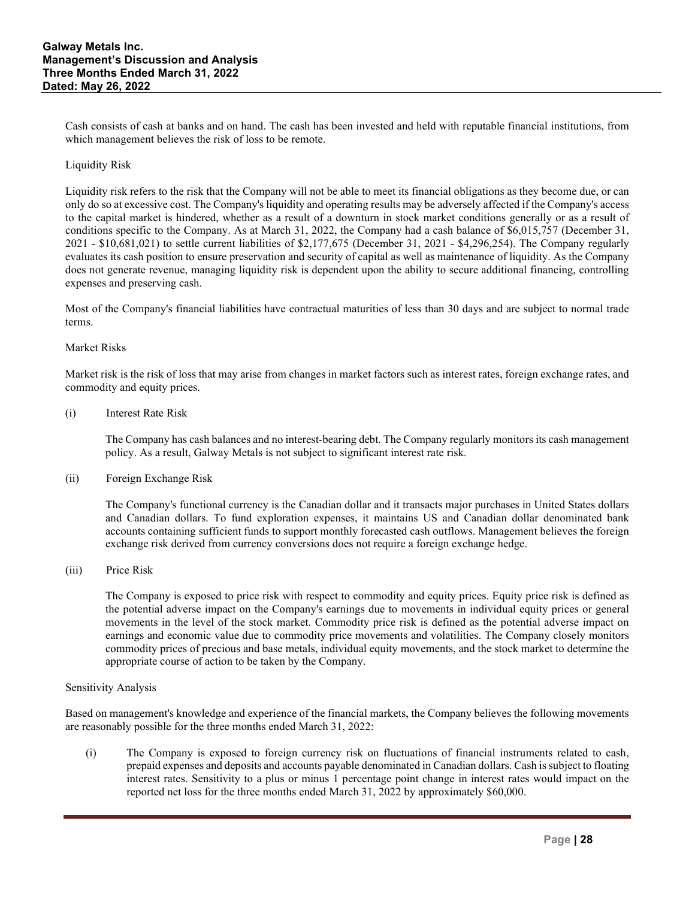Cash consists of cash at banks and on hand. The cash has been invested and held with reputable financial institutions, from which management believes the risk of loss to be remote.

### Liquidity Risk

Liquidity risk refers to the risk that the Company will not be able to meet its financial obligations as they become due, or can only do so at excessive cost. The Company's liquidity and operating results may be adversely affected if the Company's access to the capital market is hindered, whether as a result of a downturn in stock market conditions generally or as a result of conditions specific to the Company. As at March 31, 2022, the Company had a cash balance of \$6,015,757 (December 31, 2021 - \$10,681,021) to settle current liabilities of \$2,177,675 (December 31, 2021 - \$4,296,254). The Company regularly evaluates its cash position to ensure preservation and security of capital as well as maintenance of liquidity. As the Company does not generate revenue, managing liquidity risk is dependent upon the ability to secure additional financing, controlling expenses and preserving cash.

Most of the Company's financial liabilities have contractual maturities of less than 30 days and are subject to normal trade terms.

### Market Risks

Market risk is the risk of loss that may arise from changes in market factors such as interest rates, foreign exchange rates, and commodity and equity prices.

#### (i) Interest Rate Risk

The Company has cash balances and no interest-bearing debt. The Company regularly monitors its cash management policy. As a result, Galway Metals is not subject to significant interest rate risk.

(ii) Foreign Exchange Risk

The Company's functional currency is the Canadian dollar and it transacts major purchases in United States dollars and Canadian dollars. To fund exploration expenses, it maintains US and Canadian dollar denominated bank accounts containing sufficient funds to support monthly forecasted cash outflows. Management believes the foreign exchange risk derived from currency conversions does not require a foreign exchange hedge.

(iii) Price Risk

The Company is exposed to price risk with respect to commodity and equity prices. Equity price risk is defined as the potential adverse impact on the Company's earnings due to movements in individual equity prices or general movements in the level of the stock market. Commodity price risk is defined as the potential adverse impact on earnings and economic value due to commodity price movements and volatilities. The Company closely monitors commodity prices of precious and base metals, individual equity movements, and the stock market to determine the appropriate course of action to be taken by the Company.

#### Sensitivity Analysis

Based on management's knowledge and experience of the financial markets, the Company believes the following movements are reasonably possible for the three months ended March 31, 2022:

(i) The Company is exposed to foreign currency risk on fluctuations of financial instruments related to cash, prepaid expenses and deposits and accounts payable denominated in Canadian dollars. Cash is subject to floating interest rates. Sensitivity to a plus or minus 1 percentage point change in interest rates would impact on the reported net loss for the three months ended March 31, 2022 by approximately \$60,000.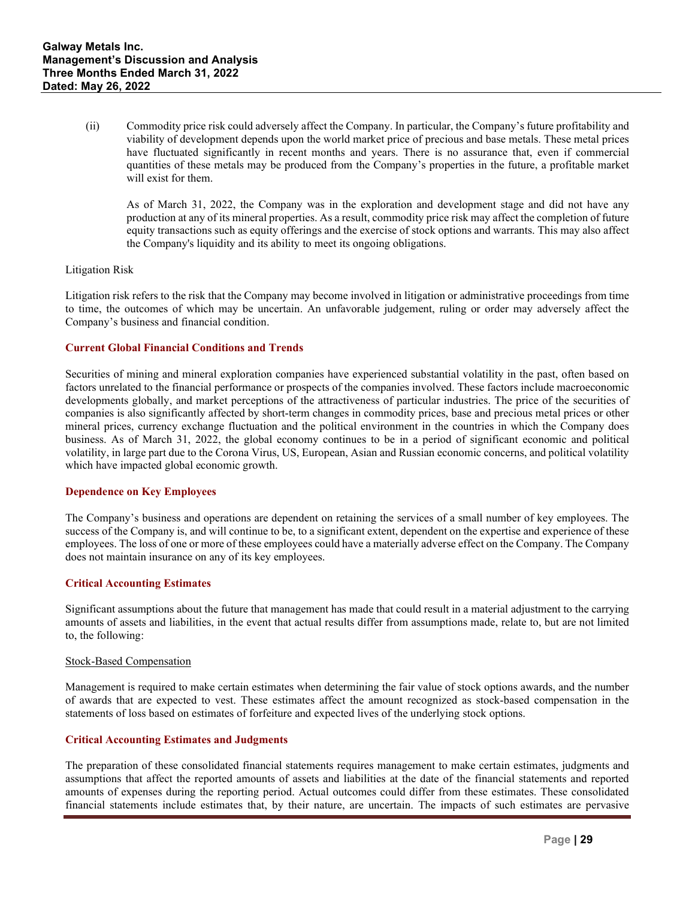(ii) Commodity price risk could adversely affect the Company. In particular, the Company's future profitability and viability of development depends upon the world market price of precious and base metals. These metal prices have fluctuated significantly in recent months and years. There is no assurance that, even if commercial quantities of these metals may be produced from the Company's properties in the future, a profitable market will exist for them.

As of March 31, 2022, the Company was in the exploration and development stage and did not have any production at any of its mineral properties. As a result, commodity price risk may affect the completion of future equity transactions such as equity offerings and the exercise of stock options and warrants. This may also affect the Company's liquidity and its ability to meet its ongoing obligations.

### Litigation Risk

Litigation risk refers to the risk that the Company may become involved in litigation or administrative proceedings from time to time, the outcomes of which may be uncertain. An unfavorable judgement, ruling or order may adversely affect the Company's business and financial condition.

### **Current Global Financial Conditions and Trends**

Securities of mining and mineral exploration companies have experienced substantial volatility in the past, often based on factors unrelated to the financial performance or prospects of the companies involved. These factors include macroeconomic developments globally, and market perceptions of the attractiveness of particular industries. The price of the securities of companies is also significantly affected by short-term changes in commodity prices, base and precious metal prices or other mineral prices, currency exchange fluctuation and the political environment in the countries in which the Company does business. As of March 31, 2022, the global economy continues to be in a period of significant economic and political volatility, in large part due to the Corona Virus, US, European, Asian and Russian economic concerns, and political volatility which have impacted global economic growth.

#### **Dependence on Key Employees**

The Company's business and operations are dependent on retaining the services of a small number of key employees. The success of the Company is, and will continue to be, to a significant extent, dependent on the expertise and experience of these employees. The loss of one or more of these employees could have a materially adverse effect on the Company. The Company does not maintain insurance on any of its key employees.

#### **Critical Accounting Estimates**

Significant assumptions about the future that management has made that could result in a material adjustment to the carrying amounts of assets and liabilities, in the event that actual results differ from assumptions made, relate to, but are not limited to, the following:

#### Stock-Based Compensation

Management is required to make certain estimates when determining the fair value of stock options awards, and the number of awards that are expected to vest. These estimates affect the amount recognized as stock-based compensation in the statements of loss based on estimates of forfeiture and expected lives of the underlying stock options.

#### **Critical Accounting Estimates and Judgments**

The preparation of these consolidated financial statements requires management to make certain estimates, judgments and assumptions that affect the reported amounts of assets and liabilities at the date of the financial statements and reported amounts of expenses during the reporting period. Actual outcomes could differ from these estimates. These consolidated financial statements include estimates that, by their nature, are uncertain. The impacts of such estimates are pervasive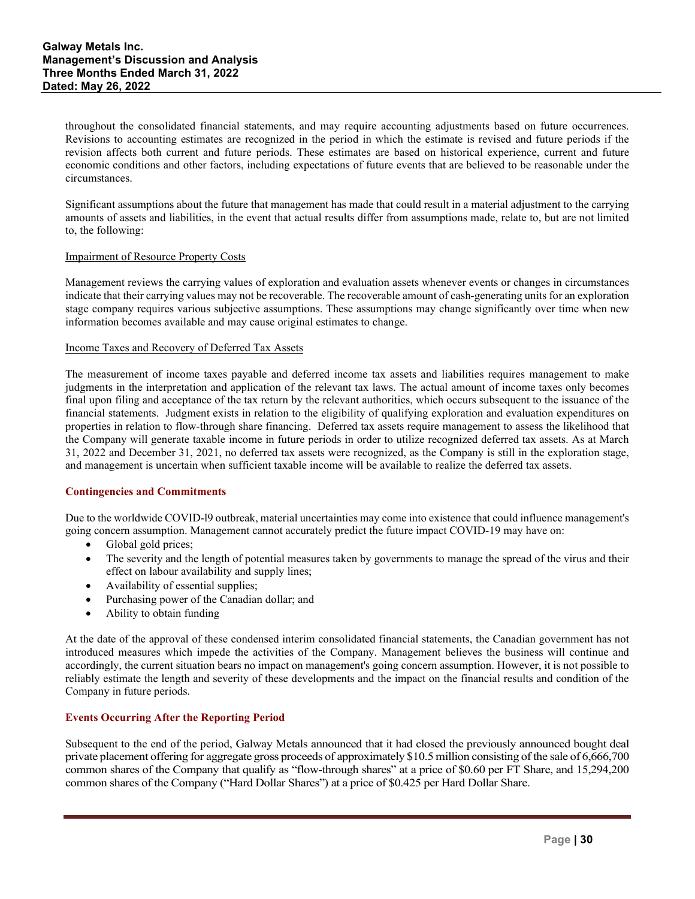throughout the consolidated financial statements, and may require accounting adjustments based on future occurrences. Revisions to accounting estimates are recognized in the period in which the estimate is revised and future periods if the revision affects both current and future periods. These estimates are based on historical experience, current and future economic conditions and other factors, including expectations of future events that are believed to be reasonable under the circumstances.

Significant assumptions about the future that management has made that could result in a material adjustment to the carrying amounts of assets and liabilities, in the event that actual results differ from assumptions made, relate to, but are not limited to, the following:

### Impairment of Resource Property Costs

Management reviews the carrying values of exploration and evaluation assets whenever events or changes in circumstances indicate that their carrying values may not be recoverable. The recoverable amount of cash-generating units for an exploration stage company requires various subjective assumptions. These assumptions may change significantly over time when new information becomes available and may cause original estimates to change.

### Income Taxes and Recovery of Deferred Tax Assets

The measurement of income taxes payable and deferred income tax assets and liabilities requires management to make judgments in the interpretation and application of the relevant tax laws. The actual amount of income taxes only becomes final upon filing and acceptance of the tax return by the relevant authorities, which occurs subsequent to the issuance of the financial statements. Judgment exists in relation to the eligibility of qualifying exploration and evaluation expenditures on properties in relation to flow-through share financing. Deferred tax assets require management to assess the likelihood that the Company will generate taxable income in future periods in order to utilize recognized deferred tax assets. As at March 31, 2022 and December 31, 2021, no deferred tax assets were recognized, as the Company is still in the exploration stage, and management is uncertain when sufficient taxable income will be available to realize the deferred tax assets.

### **Contingencies and Commitments**

Due to the worldwide COVID-l9 outbreak, material uncertainties may come into existence that could influence management's going concern assumption. Management cannot accurately predict the future impact COVID-19 may have on:

- Global gold prices;
- The severity and the length of potential measures taken by governments to manage the spread of the virus and their effect on labour availability and supply lines;
- Availability of essential supplies;
- Purchasing power of the Canadian dollar; and
- Ability to obtain funding

At the date of the approval of these condensed interim consolidated financial statements, the Canadian government has not introduced measures which impede the activities of the Company. Management believes the business will continue and accordingly, the current situation bears no impact on management's going concern assumption. However, it is not possible to reliably estimate the length and severity of these developments and the impact on the financial results and condition of the Company in future periods.

### **Events Occurring After the Reporting Period**

Subsequent to the end of the period, Galway Metals announced that it had closed the previously announced bought deal private placement offering for aggregate gross proceeds of approximately \$10.5 million consisting of the sale of 6,666,700 common shares of the Company that qualify as "flow-through shares" at a price of \$0.60 per FT Share, and 15,294,200 common shares of the Company ("Hard Dollar Shares") at a price of \$0.425 per Hard Dollar Share.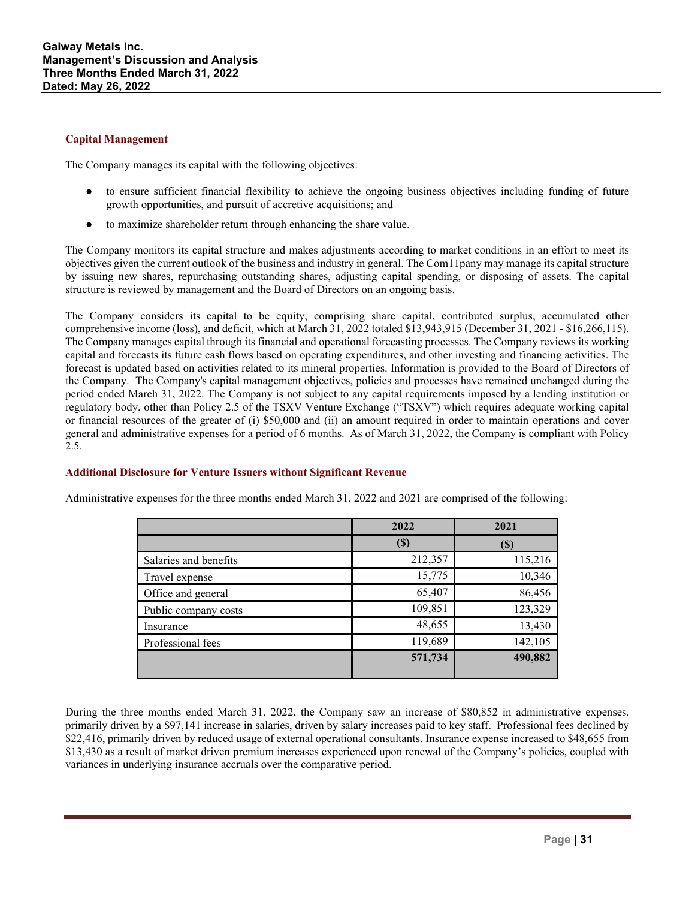### **Capital Management**

The Company manages its capital with the following objectives:

- to ensure sufficient financial flexibility to achieve the ongoing business objectives including funding of future growth opportunities, and pursuit of accretive acquisitions; and
- to maximize shareholder return through enhancing the share value.

The Company monitors its capital structure and makes adjustments according to market conditions in an effort to meet its objectives given the current outlook of the business and industry in general. The Com11pany may manage its capital structure by issuing new shares, repurchasing outstanding shares, adjusting capital spending, or disposing of assets. The capital structure is reviewed by management and the Board of Directors on an ongoing basis.

The Company considers its capital to be equity, comprising share capital, contributed surplus, accumulated other comprehensive income (loss), and deficit, which at March 31, 2022 totaled \$13,943,915 (December 31, 2021 - \$16,266,115). The Company manages capital through its financial and operational forecasting processes. The Company reviews its working capital and forecasts its future cash flows based on operating expenditures, and other investing and financing activities. The forecast is updated based on activities related to its mineral properties. Information is provided to the Board of Directors of the Company. The Company's capital management objectives, policies and processes have remained unchanged during the period ended March 31, 2022. The Company is not subject to any capital requirements imposed by a lending institution or regulatory body, other than Policy 2.5 of the TSXV Venture Exchange ("TSXV") which requires adequate working capital or financial resources of the greater of (i) \$50,000 and (ii) an amount required in order to maintain operations and cover general and administrative expenses for a period of 6 months. As of March 31, 2022, the Company is compliant with Policy 2.5.

### **Additional Disclosure for Venture Issuers without Significant Revenue**

Administrative expenses for the three months ended March 31, 2022 and 2021 are comprised of the following:

|                       | 2022                       | 2021    |
|-----------------------|----------------------------|---------|
|                       | $\left( \mathbb{S}\right)$ |         |
| Salaries and benefits | 212,357                    | 115,216 |
| Travel expense        | 15,775                     | 10,346  |
| Office and general    | 65,407                     | 86,456  |
| Public company costs  | 109,851                    | 123,329 |
| Insurance             | 48,655                     | 13,430  |
| Professional fees     | 119,689                    | 142,105 |
|                       | 571,734                    | 490,882 |
|                       |                            |         |

During the three months ended March 31, 2022, the Company saw an increase of \$80,852 in administrative expenses, primarily driven by a \$97,141 increase in salaries, driven by salary increases paid to key staff. Professional fees declined by \$22,416, primarily driven by reduced usage of external operational consultants. Insurance expense increased to \$48,655 from \$13,430 as a result of market driven premium increases experienced upon renewal of the Company's policies, coupled with variances in underlying insurance accruals over the comparative period.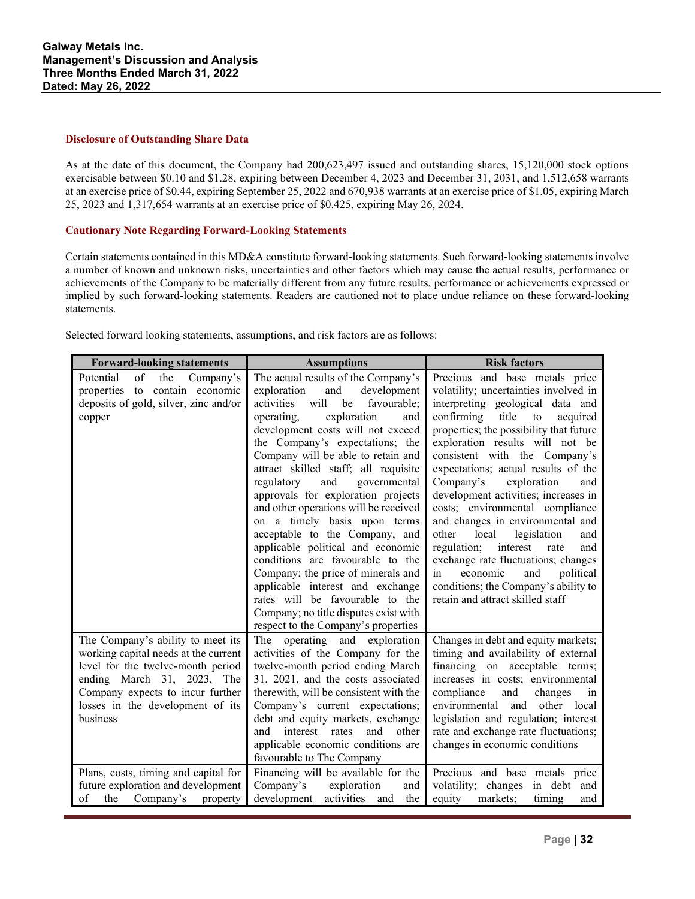### **Disclosure of Outstanding Share Data**

As at the date of this document, the Company had 200,623,497 issued and outstanding shares, 15,120,000 stock options exercisable between \$0.10 and \$1.28, expiring between December 4, 2023 and December 31, 2031, and 1,512,658 warrants at an exercise price of \$0.44, expiring September 25, 2022 and 670,938 warrants at an exercise price of \$1.05, expiring March 25, 2023 and 1,317,654 warrants at an exercise price of \$0.425, expiring May 26, 2024.

### **Cautionary Note Regarding Forward-Looking Statements**

Certain statements contained in this MD&A constitute forward-looking statements. Such forward-looking statements involve a number of known and unknown risks, uncertainties and other factors which may cause the actual results, performance or achievements of the Company to be materially different from any future results, performance or achievements expressed or implied by such forward-looking statements. Readers are cautioned not to place undue reliance on these forward-looking statements.

Selected forward looking statements, assumptions, and risk factors are as follows:

| <b>Forward-looking statements</b>                                                                                                                                                                                                | <b>Assumptions</b>                                                                                                                                                                                                                                                                                                                                                                                                                                                                                                                                                                                                                                                                                                                                                        | <b>Risk factors</b>                                                                                                                                                                                                                                                                                                                                                                                                                                                                                                                                                                                                                                                                                     |  |
|----------------------------------------------------------------------------------------------------------------------------------------------------------------------------------------------------------------------------------|---------------------------------------------------------------------------------------------------------------------------------------------------------------------------------------------------------------------------------------------------------------------------------------------------------------------------------------------------------------------------------------------------------------------------------------------------------------------------------------------------------------------------------------------------------------------------------------------------------------------------------------------------------------------------------------------------------------------------------------------------------------------------|---------------------------------------------------------------------------------------------------------------------------------------------------------------------------------------------------------------------------------------------------------------------------------------------------------------------------------------------------------------------------------------------------------------------------------------------------------------------------------------------------------------------------------------------------------------------------------------------------------------------------------------------------------------------------------------------------------|--|
| of<br>the<br>Company's<br>Potential<br>properties to contain economic<br>deposits of gold, silver, zinc and/or<br>copper                                                                                                         | The actual results of the Company's<br>exploration<br>and<br>development<br>will<br>activities<br>favourable;<br>be<br>exploration<br>operating,<br>and<br>development costs will not exceed<br>the Company's expectations; the<br>Company will be able to retain and<br>attract skilled staff; all requisite<br>regulatory<br>and<br>governmental<br>approvals for exploration projects<br>and other operations will be received<br>on a timely basis upon terms<br>acceptable to the Company, and<br>applicable political and economic<br>conditions are favourable to the<br>Company; the price of minerals and<br>applicable interest and exchange<br>rates will be favourable to the<br>Company; no title disputes exist with<br>respect to the Company's properties | Precious and base metals price<br>volatility; uncertainties involved in<br>interpreting geological data and<br>confirming<br>title<br>to<br>acquired<br>properties; the possibility that future<br>exploration results will not be<br>consistent with the Company's<br>expectations; actual results of the<br>Company's<br>exploration<br>and<br>development activities; increases in<br>costs; environmental compliance<br>and changes in environmental and<br>other<br>local<br>legislation<br>and<br>interest<br>regulation;<br>rate<br>and<br>exchange rate fluctuations; changes<br>economic<br>in<br>and<br>political<br>conditions; the Company's ability to<br>retain and attract skilled staff |  |
| The Company's ability to meet its<br>working capital needs at the current<br>level for the twelve-month period<br>ending March 31, 2023. The<br>Company expects to incur further<br>losses in the development of its<br>business | The operating and exploration<br>activities of the Company for the<br>twelve-month period ending March<br>31, 2021, and the costs associated<br>therewith, will be consistent with the<br>Company's current expectations;<br>debt and equity markets, exchange<br>interest rates<br>and<br>other<br>and<br>applicable economic conditions are<br>favourable to The Company                                                                                                                                                                                                                                                                                                                                                                                                | Changes in debt and equity markets;<br>timing and availability of external<br>financing on acceptable terms;<br>increases in costs; environmental<br>compliance<br>and<br>changes<br>in<br>environmental<br>and<br>other local<br>legislation and regulation; interest<br>rate and exchange rate fluctuations;<br>changes in economic conditions                                                                                                                                                                                                                                                                                                                                                        |  |
| Plans, costs, timing and capital for<br>future exploration and development<br>of<br>the<br>Company's<br>property                                                                                                                 | Financing will be available for the<br>Company's<br>exploration<br>and<br>development<br>activities and<br>the                                                                                                                                                                                                                                                                                                                                                                                                                                                                                                                                                                                                                                                            | Precious and base metals price<br>in debt and<br>volatility; changes<br>markets;<br>equity<br>timing<br>and                                                                                                                                                                                                                                                                                                                                                                                                                                                                                                                                                                                             |  |